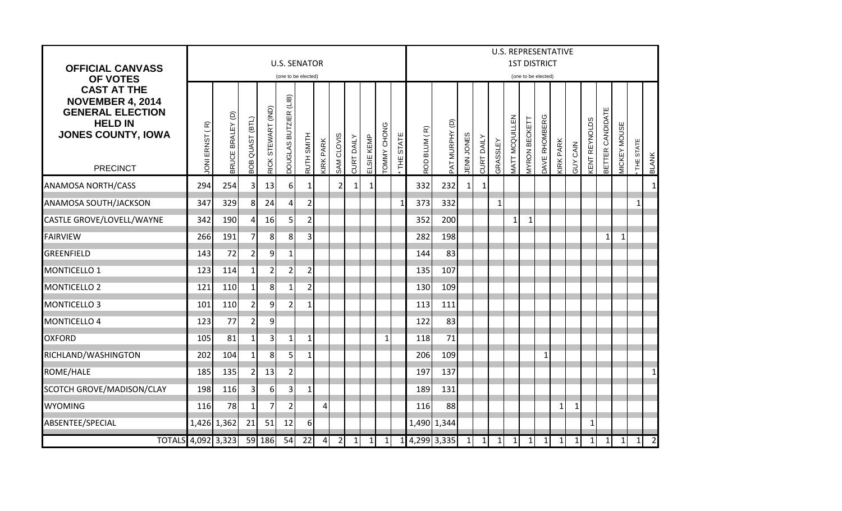|                                                                                                                                     |                |                  |                 |                    |                       |                |                  |                |                   |            |                    |           |                                              |                |             |              |          | <b>U.S. REPRESENTATIVE</b> |                      |                      |                  |                 |                             |                         |                            |              |                          |
|-------------------------------------------------------------------------------------------------------------------------------------|----------------|------------------|-----------------|--------------------|-----------------------|----------------|------------------|----------------|-------------------|------------|--------------------|-----------|----------------------------------------------|----------------|-------------|--------------|----------|----------------------------|----------------------|----------------------|------------------|-----------------|-----------------------------|-------------------------|----------------------------|--------------|--------------------------|
| <b>OFFICIAL CANVASS</b>                                                                                                             |                |                  |                 |                    | <b>U.S. SENATOR</b>   |                |                  |                |                   |            |                    |           |                                              |                |             |              |          |                            | <b>1ST DISTRICT</b>  |                      |                  |                 |                             |                         |                            |              |                          |
| OF VOTES                                                                                                                            |                |                  |                 |                    | (one to be elected)   |                |                  |                |                   |            |                    |           |                                              |                |             |              |          |                            | (one to be elected)  |                      |                  |                 |                             |                         |                            |              |                          |
| <b>CAST AT THE</b><br><b>NOVEMBER 4, 2014</b><br><b>GENERAL ELECTION</b><br><b>HELD IN</b><br>JONES COUNTY, IOWA<br><b>PRECINCT</b> | JONI ERNST (R) | BRUCE BRALEY (D) | BOB QUAST (BTL) | RICK STEWART (IND) | DOUGLAS BUTZIER (LIB) | RUTH SMITH     | <b>KIRK PARK</b> | SAM CLOVIS     | <b>CURT DAILY</b> | ELSIE KEMP | <b>TOMMY CHONG</b> | THE STATE | ROD BLUM (R)                                 | PAT MURPHY (D) | JENN JONES  | CURT DAILY   | GRASSLEY | <b>MATT MCQUILLEN</b>      | <b>MYRON BECKETT</b> | <b>DAVE RHOMBERG</b> | <b>(IRK PARK</b> | <b>GUY CAIN</b> | <b><i>CENT REYNOLDS</i></b> | <b>BETTER CANDIDATE</b> | <b><i>AICKEY MOUSE</i></b> | THE STATE    | <b>BLANK</b>             |
| <b>ANAMOSA NORTH/CASS</b>                                                                                                           | 294            | 254              | 3               | 13                 | 6                     | $\mathbf{1}$   |                  | $\overline{2}$ | 1                 | 1          |                    |           | 332                                          | 232            | $\mathbf 1$ | $\mathbf{1}$ |          |                            |                      |                      |                  |                 |                             |                         |                            |              | $\mathbf{1}$             |
| ANAMOSA SOUTH/JACKSON                                                                                                               | 347            | 329              | 8               | 24                 | 4                     | $\overline{2}$ |                  |                |                   |            |                    | 1         | 373                                          | 332            |             |              | 1        |                            |                      |                      |                  |                 |                             |                         |                            | $\mathbf{1}$ |                          |
| CASTLE GROVE/LOVELL/WAYNE                                                                                                           | 342            | 190              | 4               | 16                 | 5                     | $\overline{2}$ |                  |                |                   |            |                    |           | 352                                          | 200            |             |              |          |                            | $\mathbf{1}$         |                      |                  |                 |                             |                         |                            |              |                          |
| <b>FAIRVIEW</b>                                                                                                                     | 266            | 191              | 7               | 8                  | 8                     | 3              |                  |                |                   |            |                    |           | 282                                          | 198            |             |              |          |                            |                      |                      |                  |                 |                             | $\mathbf{1}$            | 1                          |              |                          |
| GREENFIELD                                                                                                                          | 143            | 72               | $\overline{2}$  | 9                  | $\mathbf 1$           |                |                  |                |                   |            |                    |           | 144                                          | 83             |             |              |          |                            |                      |                      |                  |                 |                             |                         |                            |              |                          |
| MONTICELLO 1                                                                                                                        | 123            | 114              | $\mathbf{1}$    | $\overline{2}$     | $\overline{2}$        | $\overline{2}$ |                  |                |                   |            |                    |           | 135                                          | 107            |             |              |          |                            |                      |                      |                  |                 |                             |                         |                            |              |                          |
| <b>MONTICELLO 2</b>                                                                                                                 | 121            | 110              | $\mathbf{1}$    | 8                  | $\mathbf{1}$          | $\overline{2}$ |                  |                |                   |            |                    |           | 130                                          | 109            |             |              |          |                            |                      |                      |                  |                 |                             |                         |                            |              |                          |
| <b>MONTICELLO 3</b>                                                                                                                 | 101            | 110              | $\overline{2}$  | 9                  | $\overline{2}$        | $\mathbf{1}$   |                  |                |                   |            |                    |           | 113                                          | 111            |             |              |          |                            |                      |                      |                  |                 |                             |                         |                            |              |                          |
| MONTICELLO 4                                                                                                                        | 123            | 77               | $\overline{2}$  | 9                  |                       |                |                  |                |                   |            |                    |           | 122                                          | 83             |             |              |          |                            |                      |                      |                  |                 |                             |                         |                            |              |                          |
| <b>OXFORD</b>                                                                                                                       | 105            | 81               | $\mathbf{1}$    | 3                  | $\mathbf 1$           | $\mathbf{1}$   |                  |                |                   |            |                    |           | 118                                          | 71             |             |              |          |                            |                      |                      |                  |                 |                             |                         |                            |              |                          |
| RICHLAND/WASHINGTON                                                                                                                 | 202            | 104              | $\mathbf{1}$    | 8                  | 5                     | $\mathbf{1}$   |                  |                |                   |            |                    |           | 206                                          | 109            |             |              |          |                            |                      | 1                    |                  |                 |                             |                         |                            |              |                          |
| ROME/HALE                                                                                                                           | 185            | 135              | $\overline{2}$  | 13                 | $\mathbf 2$           |                |                  |                |                   |            |                    |           | 197                                          | 137            |             |              |          |                            |                      |                      |                  |                 |                             |                         |                            |              | $\mathbf{1}$             |
| SCOTCH GROVE/MADISON/CLAY                                                                                                           | 198            | 116              | 3               | 6                  | 3                     | 1              |                  |                |                   |            |                    |           | 189                                          | 131            |             |              |          |                            |                      |                      |                  |                 |                             |                         |                            |              |                          |
| <b>WYOMING</b>                                                                                                                      | 116            | 78               | $\mathbf 1$     | 7                  | $\overline{2}$        |                | 4                |                |                   |            |                    |           | 116                                          | 88             |             |              |          |                            |                      |                      | 1                | $\mathbf{1}$    |                             |                         |                            |              |                          |
| ABSENTEE/SPECIAL                                                                                                                    |                | 1,426 1,362      | 21              | 51                 | 12                    | 6              |                  |                |                   |            |                    |           |                                              | 1,490 1,344    |             |              |          |                            |                      |                      |                  |                 | 1                           |                         |                            |              |                          |
| TOTALS 4,092 3,323 59 186                                                                                                           |                |                  |                 |                    | 54                    |                |                  |                |                   |            |                    |           | $22$ 4 2 1 1 1 1 4,299 3,335 1 1 1 1 1 1 1 1 |                |             |              |          |                            |                      |                      |                  |                 |                             | $1 \quad 1$             |                            | $1 \mid 1$   | $\overline{\phantom{2}}$ |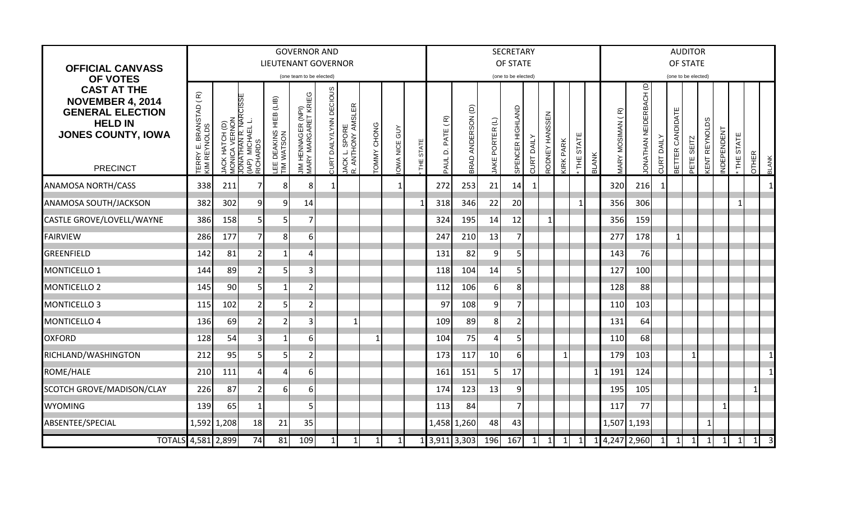|                                                                                                                                     |                                        |                                                                                         |                |                                       | <b>GOVERNOR AND</b>                       |                         |                                                    |                    |                      |            |                                                                                      |                              |                        | <b>SECRETARY</b>    |                   |                |                                |              |                                |                        |                   | <b>AUDITOR</b>             |                     |                             |                |              |                                  |
|-------------------------------------------------------------------------------------------------------------------------------------|----------------------------------------|-----------------------------------------------------------------------------------------|----------------|---------------------------------------|-------------------------------------------|-------------------------|----------------------------------------------------|--------------------|----------------------|------------|--------------------------------------------------------------------------------------|------------------------------|------------------------|---------------------|-------------------|----------------|--------------------------------|--------------|--------------------------------|------------------------|-------------------|----------------------------|---------------------|-----------------------------|----------------|--------------|----------------------------------|
| <b>OFFICIAL CANVASS</b>                                                                                                             |                                        |                                                                                         |                |                                       | <b>LIEUTENANT GOVERNOR</b>                |                         |                                                    |                    |                      |            |                                                                                      |                              |                        | OF STATE            |                   |                |                                |              |                                |                        |                   | OF STATE                   |                     |                             |                |              |                                  |
| OF VOTES                                                                                                                            |                                        |                                                                                         |                |                                       | (one team to be elected)                  |                         |                                                    |                    |                      |            |                                                                                      |                              |                        | (one to be elected) |                   |                |                                |              |                                |                        |                   | (one to be elected)        |                     |                             |                |              |                                  |
| <b>CAST AT THE</b><br><b>NOVEMBER 4, 2014</b><br><b>GENERAL ELECTION</b><br><b>HELD IN</b><br>JONES COUNTY, IOWA<br><b>PRECINCT</b> | TERRY E. BRANSTAD ( R)<br>KIM REYNOLDS | JACK HATCH (D)<br>MONICA VERNON<br>JONATHAN R. NARCISSE<br>(IAP) MICHAEL L.<br>RICHARDS |                | DEAKINS HIEB (LIB)<br>WATSON<br>TIM N | JIM HENNAGER (NPI)<br>MARY MARGARET KRIEG | CURT DAILY/LYNN DECIOUS | JACK L. SPORE<br>R. ANTHONY AMSLER<br><b>JACKL</b> | <b>LOMNA CHONG</b> | Š<br><b>OWA NICE</b> | STATE<br>置 | $\widehat{\alpha}$<br>$\overline{\phantom{0}}$<br>PATE<br>$\dot{\mathbf{C}}$<br>PAUL | ê<br>ANDERSON<br><b>BRAD</b> | JAKE PORTER (L)        | SPENCER HIGHLAND    | <b>CURT DAILY</b> | RODNEY HANSSEN | STATE<br><b>(IRK PARK</b><br>\ | <b>BLANK</b> | <b><i>MARY MOSIMAN (R)</i></b> | JONATHAN NEIDERBACH (D | <b>CURT DAILY</b> | CANDIDATE<br><b>BETTER</b> | SEITZ<br><b>ELE</b> | δg<br>REYNOLD<br><b>ENT</b> | NDEPENDENT     | STATE<br>₩   | <b>OTHER</b><br><b>BLANK</b>     |
| <b>ANAMOSA NORTH/CASS</b>                                                                                                           | 338                                    | 211                                                                                     | 7              | 8                                     | 8                                         |                         |                                                    |                    | 1                    |            | 272                                                                                  | 253                          | 21                     | 14                  |                   |                |                                |              | 320                            | 216                    |                   |                            |                     |                             |                |              | 1                                |
| ANAMOSA SOUTH/JACKSON                                                                                                               | 382                                    | 302                                                                                     | 9              | 9                                     | 14                                        |                         |                                                    |                    |                      |            | 318                                                                                  | 346                          | 22                     | 20                  |                   |                |                                | 1            | 356                            | 306                    |                   |                            |                     |                             |                |              |                                  |
| CASTLE GROVE/LOVELL/WAYNE                                                                                                           | 386                                    | 158                                                                                     | 5 <sup>1</sup> | 5 <sub>5</sub>                        | 7                                         |                         |                                                    |                    |                      |            | 324                                                                                  | 195                          | 14                     | 12                  |                   | -1             |                                |              | 356                            | 159                    |                   |                            |                     |                             |                |              |                                  |
| <b>FAIRVIEW</b>                                                                                                                     | 286                                    | 177                                                                                     | $\overline{7}$ | 8                                     | 6                                         |                         |                                                    |                    |                      |            | 247                                                                                  | 210                          | 13                     | $\overline{7}$      |                   |                |                                |              | 277                            | 178                    |                   | $\mathbf{1}$               |                     |                             |                |              |                                  |
| GREENFIELD                                                                                                                          | 142                                    | 81                                                                                      | $\mathbf{2}$   | 1                                     | 4                                         |                         |                                                    |                    |                      |            | 131                                                                                  | 82                           | 9                      | 5                   |                   |                |                                |              | 143                            | 76                     |                   |                            |                     |                             |                |              |                                  |
| MONTICELLO 1                                                                                                                        | 144                                    | 89                                                                                      | $\overline{2}$ | 5                                     | 3                                         |                         |                                                    |                    |                      |            | 118                                                                                  | 104                          | 14                     | 5                   |                   |                |                                |              | 127                            | 100                    |                   |                            |                     |                             |                |              |                                  |
| <b>MONTICELLO 2</b>                                                                                                                 | 145                                    | 90                                                                                      | 5 <sup>1</sup> |                                       | 2                                         |                         |                                                    |                    |                      |            | 112                                                                                  | 106                          | 6                      | 8                   |                   |                |                                |              | 128                            | 88                     |                   |                            |                     |                             |                |              |                                  |
| <b>MONTICELLO 3</b>                                                                                                                 | 115                                    | 102                                                                                     | $\overline{2}$ | 5                                     | $\overline{2}$                            |                         |                                                    |                    |                      |            | 97                                                                                   | 108                          | 9                      | $\overline{7}$      |                   |                |                                |              | 110                            | 103                    |                   |                            |                     |                             |                |              |                                  |
| MONTICELLO 4                                                                                                                        | 136                                    | 69                                                                                      | $\overline{2}$ | 2                                     | 3                                         |                         | 1                                                  |                    |                      |            | 109                                                                                  | 89                           | 8                      | $\overline{2}$      |                   |                |                                |              | 131                            | 64                     |                   |                            |                     |                             |                |              |                                  |
| <b>OXFORD</b>                                                                                                                       | 128                                    | 54                                                                                      | $\vert$        |                                       | 6                                         |                         |                                                    |                    |                      |            | 104                                                                                  | 75                           | $\boldsymbol{\Lambda}$ | 5                   |                   |                |                                |              | 110                            | 68                     |                   |                            |                     |                             |                |              |                                  |
| RICHLAND/WASHINGTON                                                                                                                 | 212                                    | 95                                                                                      | 5 <sup>1</sup> | 5                                     | 2                                         |                         |                                                    |                    |                      |            | 173                                                                                  | 117                          | 10                     | 6                   |                   |                | -1                             |              | 179                            | 103                    |                   |                            | $\overline{1}$      |                             |                |              |                                  |
| ROME/HALE                                                                                                                           | 210                                    | 111                                                                                     | 4              | 4                                     | 6                                         |                         |                                                    |                    |                      |            | 161                                                                                  | 151                          | 5 <sub>5</sub>         | 17                  |                   |                |                                |              | 191                            | 124                    |                   |                            |                     |                             |                |              |                                  |
| SCOTCH GROVE/MADISON/CLAY                                                                                                           | 226                                    | 87                                                                                      | $\overline{2}$ | 6                                     | 6                                         |                         |                                                    |                    |                      |            | 174                                                                                  | 123                          | 13                     | 9                   |                   |                |                                |              | 195                            | 105                    |                   |                            |                     |                             |                |              | $\mathbf 1$                      |
| <b>WYOMING</b>                                                                                                                      | 139                                    | 65                                                                                      | $\mathbf{1}$   |                                       | 5                                         |                         |                                                    |                    |                      |            | 113                                                                                  | 84                           |                        | 7                   |                   |                |                                |              | 117                            | 77                     |                   |                            |                     |                             | -1             |              |                                  |
| ABSENTEE/SPECIAL                                                                                                                    |                                        | 1,592 1,208                                                                             | 18             | 21                                    | 35                                        |                         |                                                    |                    |                      |            |                                                                                      | 1,458 1,260                  | 48                     | 43                  |                   |                |                                |              | 1,507 1,193                    |                        |                   |                            |                     | $\mathbf 1$                 |                |              |                                  |
| TOTALS 4,581 2,899                                                                                                                  |                                        |                                                                                         | 74             | 81                                    | 109                                       |                         | 1                                                  | $\mathbf{1}$       | 1                    |            |                                                                                      | 1 3,911 3,303                | 196                    | 167                 | $\mathbf{1}$      | $\vert$ 1      | $\vert$ 1                      | 1            | $1 \mid 4,247 \mid 2,960 \mid$ |                        |                   | $1 \quad 1$                | $\mathbf{1}$        | $1\vert$                    | $\overline{1}$ | $\mathbf{1}$ | $\overline{1}$<br>$\overline{3}$ |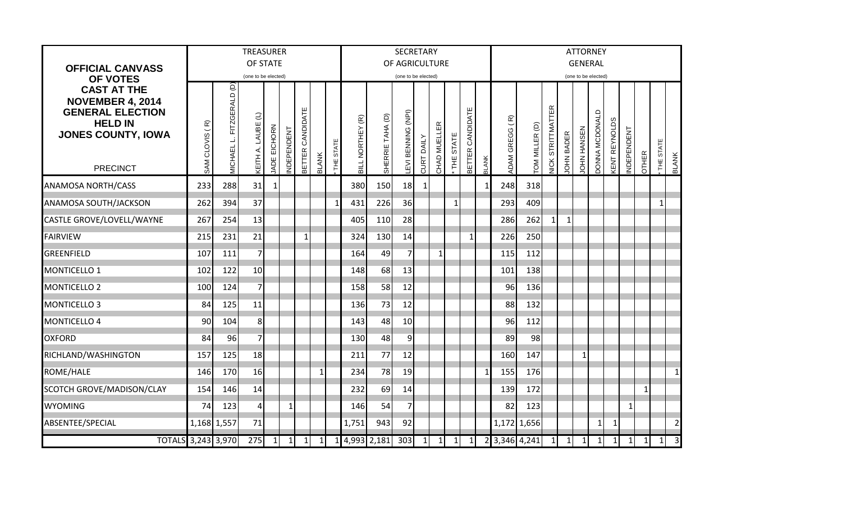|                                                                                                                                     |                |                           | <b>TREASURER</b>    |                     |              |                            |              |              |                                          |                  | <b>SECRETARY</b>    |              |              |            |                     |              |                |                |                          |                | <b>ATTORNEY</b>     |                      |                             |                |              |                |                            |
|-------------------------------------------------------------------------------------------------------------------------------------|----------------|---------------------------|---------------------|---------------------|--------------|----------------------------|--------------|--------------|------------------------------------------|------------------|---------------------|--------------|--------------|------------|---------------------|--------------|----------------|----------------|--------------------------|----------------|---------------------|----------------------|-----------------------------|----------------|--------------|----------------|----------------------------|
| <b>OFFICIAL CANVASS</b>                                                                                                             |                |                           | OF STATE            |                     |              |                            |              |              |                                          |                  | OF AGRICULTURE      |              |              |            |                     |              |                |                |                          |                | <b>GENERAL</b>      |                      |                             |                |              |                |                            |
| OF VOTES                                                                                                                            |                |                           | (one to be elected) |                     |              |                            |              |              |                                          |                  | (one to be elected) |              |              |            |                     |              |                |                |                          |                | (one to be elected) |                      |                             |                |              |                |                            |
| <b>CAST AT THE</b><br><b>NOVEMBER 4, 2014</b><br><b>GENERAL ELECTION</b><br><b>HELD IN</b><br>JONES COUNTY, IOWA<br><b>PRECINCT</b> | SAM CLOVIS (R) | MICHAEL L. FITZGERALD (D) | KEITH A. LAUBE (L)  | <b>JADE EICHORN</b> | NDEPENDENT   | CANDIDATE<br><b>BETTER</b> | <b>BLANK</b> | THE STATE    | $\widehat{\mathfrak{E}}$<br>BILL NORTHEY | SHERRIE TAHA (D) | EVI BENNING (NPI)   | CURT DAILY   | CHAD MUELLER | STATE<br>Ξ | CANDIDATE<br>BETTER | <b>BLANK</b> | ADAM GREGG (R) | TOM MILLER (D) | <b>JICK STRITTMATTER</b> | JOHN BADER     | JOHN HANSEN         | <b>OUNA MCDONALD</b> | <b><i>CENT REYNOLDS</i></b> | NDEPENDENT     | <b>OTHER</b> | THE STATE      | <b>BLANK</b>               |
| ANAMOSA NORTH/CASS                                                                                                                  | 233            | 288                       | 31                  | 1                   |              |                            |              |              | 380                                      | 150              | 18                  | $\mathbf{1}$ |              |            |                     | 1            | 248            | 318            |                          |                |                     |                      |                             |                |              |                |                            |
| ANAMOSA SOUTH/JACKSON                                                                                                               | 262            | 394                       | 37                  |                     |              |                            |              | $\mathbf{1}$ | 431                                      | 226              | 36                  |              |              | 1          |                     |              | 293            | 409            |                          |                |                     |                      |                             |                |              |                |                            |
| CASTLE GROVE/LOVELL/WAYNE                                                                                                           | 267            | 254                       | 13                  |                     |              |                            |              |              | 405                                      | 110              | 28                  |              |              |            |                     |              | 286            | 262            | $\overline{1}$           | $\mathbf{1}$   |                     |                      |                             |                |              |                |                            |
| <b>FAIRVIEW</b>                                                                                                                     | 215            | 231                       | 21                  |                     |              | $\mathbf 1$                |              |              | 324                                      | 130              | 14                  |              |              |            | -1                  |              | 226            | 250            |                          |                |                     |                      |                             |                |              |                |                            |
| <b>GREENFIELD</b>                                                                                                                   | 107            | 111                       | $\overline{7}$      |                     |              |                            |              |              | 164                                      | 49               | $\overline{7}$      |              | $\mathbf{1}$ |            |                     |              | 115            | 112            |                          |                |                     |                      |                             |                |              |                |                            |
| MONTICELLO 1                                                                                                                        | 102            | 122                       | 10                  |                     |              |                            |              |              | 148                                      | 68               | 13                  |              |              |            |                     |              | 101            | 138            |                          |                |                     |                      |                             |                |              |                |                            |
| <b>MONTICELLO 2</b>                                                                                                                 | 100            | 124                       | $\overline{7}$      |                     |              |                            |              |              | 158                                      | 58               | 12                  |              |              |            |                     |              | 96             | 136            |                          |                |                     |                      |                             |                |              |                |                            |
| <b>MONTICELLO 3</b>                                                                                                                 | 84             | 125                       | 11                  |                     |              |                            |              |              | 136                                      | 73               | 12                  |              |              |            |                     |              | 88             | 132            |                          |                |                     |                      |                             |                |              |                |                            |
| <b>MONTICELLO 4</b>                                                                                                                 | 90             | 104                       | 8                   |                     |              |                            |              |              | 143                                      | 48               | 10                  |              |              |            |                     |              | 96             | 112            |                          |                |                     |                      |                             |                |              |                |                            |
| <b>OXFORD</b>                                                                                                                       | 84             | 96                        | $\overline{7}$      |                     |              |                            |              |              | 130                                      | 48               | 9                   |              |              |            |                     |              | 89             | 98             |                          |                |                     |                      |                             |                |              |                |                            |
| RICHLAND/WASHINGTON                                                                                                                 | 157            | 125                       | 18                  |                     |              |                            |              |              | 211                                      | 77               | 12                  |              |              |            |                     |              | 160            | 147            |                          |                | 1                   |                      |                             |                |              |                |                            |
| ROME/HALE                                                                                                                           | 146            | 170                       | 16                  |                     |              |                            | 1            |              | 234                                      | 78               | 19                  |              |              |            |                     |              | 155            | 176            |                          |                |                     |                      |                             |                |              |                | $1\overline{ }$            |
| SCOTCH GROVE/MADISON/CLAY                                                                                                           | 154            | 146                       | 14                  |                     |              |                            |              |              | 232                                      | 69               | 14                  |              |              |            |                     |              | 139            | 172            |                          |                |                     |                      |                             |                | 1            |                |                            |
| <b>WYOMING</b>                                                                                                                      | 74             | 123                       | 4                   |                     | $\mathbf{1}$ |                            |              |              | 146                                      | 54               | 7                   |              |              |            |                     |              | 82             | 123            |                          |                |                     |                      |                             | -1             |              |                |                            |
| ABSENTEE/SPECIAL                                                                                                                    | 1,168 1,557    |                           | 71                  |                     |              |                            |              |              | 1,751                                    | 943              | 92                  |              |              |            |                     |              | 1,172 1,656    |                |                          |                |                     | 1                    | 1                           |                |              |                | 2                          |
| TOTALS 3,243 3,970                                                                                                                  |                |                           | 275                 |                     | $1 \quad 1$  | $\mathbf{1}$               | $\mathbf{1}$ |              |                                          | 14,993 2,181     | 303                 | 1            | $\boxed{1}$  | $\vert$ 1  | $\vert$ 1           |              | 2 3,346 4,241  |                | $\mathbf{1}$             | $\overline{1}$ | $\overline{1}$      | $\overline{1}$       | $\mathbf{1}$                | $\overline{1}$ | $\vert$ 1    | $\overline{1}$ | $\overline{\phantom{a}}$ 3 |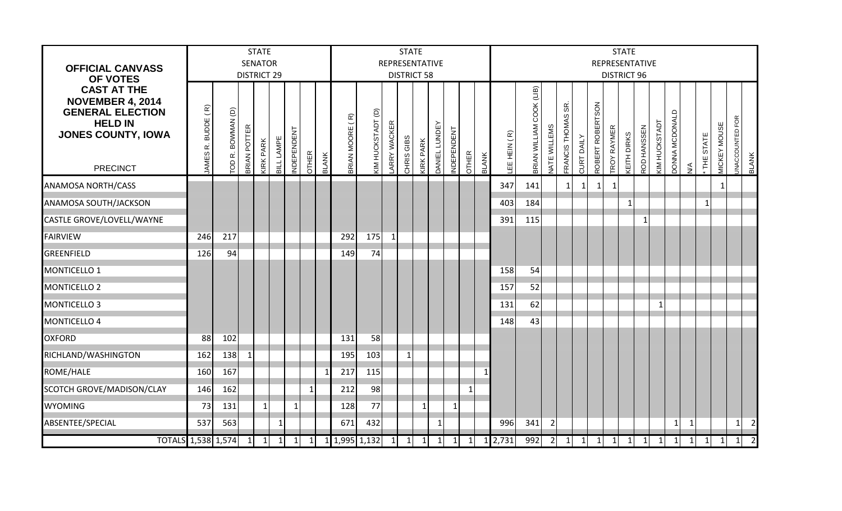|                                                                                            |                           |                              |                    | <b>STATE</b>     |                   |            |       |              |                                                            |                          |             | <b>STATE</b>                         |                 |                      |            |              |              |                                 |                          |                |                              |                   |                  |                    | <b>STATE</b>                         |             |                     |                      |             |           |                     |                 |                |
|--------------------------------------------------------------------------------------------|---------------------------|------------------------------|--------------------|------------------|-------------------|------------|-------|--------------|------------------------------------------------------------|--------------------------|-------------|--------------------------------------|-----------------|----------------------|------------|--------------|--------------|---------------------------------|--------------------------|----------------|------------------------------|-------------------|------------------|--------------------|--------------------------------------|-------------|---------------------|----------------------|-------------|-----------|---------------------|-----------------|----------------|
| <b>OFFICIAL CANVASS</b>                                                                    |                           |                              | <b>DISTRICT 29</b> | <b>SENATOR</b>   |                   |            |       |              |                                                            |                          |             | REPRESENTATIVE<br><b>DISTRICT 58</b> |                 |                      |            |              |              |                                 |                          |                |                              |                   |                  |                    | REPRESENTATIVE<br><b>DISTRICT 96</b> |             |                     |                      |             |           |                     |                 |                |
| <b>OF VOTES</b><br><b>CAST AT THE</b>                                                      |                           |                              |                    |                  |                   |            |       |              |                                                            |                          |             |                                      |                 |                      |            |              |              |                                 |                          |                |                              |                   |                  |                    |                                      |             |                     |                      |             |           |                     |                 |                |
| <b>NOVEMBER 4, 2014</b><br><b>GENERAL ELECTION</b><br><b>HELD IN</b><br>JONES COUNTY, IOWA | BUDDE (R)<br>œ<br>JAMES I | BOWMAN (D)<br>$\vec{\alpha}$ | BRIAN POTTER       | <b>KIRK PARK</b> | BILL LAMPE        | NDEPENDENT |       |              | $\widehat{R}$<br><b>BRIAN MOORE</b>                        | <b>KIM HUCKSTADT (D)</b> | ARRY WACKER | CHRIS GIBS                           | <b>GRK PARK</b> | <b>DANIEL LUNDEY</b> | NDEPENDENT |              |              | EE HEIN (R)                     | BRIAN WILLIAM COOK (LIB) | VATE WILLEMS   | န္တ<br><b>FRANCIS THOMAS</b> | <b>NURT DAILY</b> | ROBERT ROBERTSON | <b>TROY RAYMER</b> | <b>GITH DIRKS</b>                    | ROD HANSSEN | <b>IN HUCKSTADT</b> | <b>OUNA MCDONALD</b> |             | THE STATE | <b>AICKEY MOUSE</b> | INACCOUNTED FOR |                |
| <b>PRECINCT</b>                                                                            |                           | ГO                           |                    |                  |                   |            | OTHER | <b>BLANK</b> |                                                            |                          |             |                                      |                 |                      |            | <b>OTHER</b> | <b>BLANK</b> |                                 |                          |                |                              |                   |                  |                    |                                      |             |                     |                      | ₹           |           |                     |                 | <b>BLANK</b>   |
| <b>ANAMOSA NORTH/CASS</b>                                                                  |                           |                              |                    |                  |                   |            |       |              |                                                            |                          |             |                                      |                 |                      |            |              |              | 347                             | 141                      |                | $\mathbf 1$                  |                   | 1                | $\mathbf{1}$       |                                      |             |                     |                      |             |           |                     |                 |                |
| ANAMOSA SOUTH/JACKSON                                                                      |                           |                              |                    |                  |                   |            |       |              |                                                            |                          |             |                                      |                 |                      |            |              |              | 403                             | 184                      |                |                              |                   |                  |                    |                                      |             |                     |                      |             | -1        |                     |                 |                |
| CASTLE GROVE/LOVELL/WAYNE                                                                  |                           |                              |                    |                  |                   |            |       |              |                                                            |                          |             |                                      |                 |                      |            |              |              | 391                             | 115                      |                |                              |                   |                  |                    |                                      | -1          |                     |                      |             |           |                     |                 |                |
| <b>FAIRVIEW</b>                                                                            | 246                       | 217                          |                    |                  |                   |            |       |              | 292                                                        | 175                      | 1           |                                      |                 |                      |            |              |              |                                 |                          |                |                              |                   |                  |                    |                                      |             |                     |                      |             |           |                     |                 |                |
| GREENFIELD                                                                                 | 126                       | 94                           |                    |                  |                   |            |       |              | 149                                                        | 74                       |             |                                      |                 |                      |            |              |              |                                 |                          |                |                              |                   |                  |                    |                                      |             |                     |                      |             |           |                     |                 |                |
| MONTICELLO 1                                                                               |                           |                              |                    |                  |                   |            |       |              |                                                            |                          |             |                                      |                 |                      |            |              |              | 158                             | 54                       |                |                              |                   |                  |                    |                                      |             |                     |                      |             |           |                     |                 |                |
| <b>MONTICELLO 2</b>                                                                        |                           |                              |                    |                  |                   |            |       |              |                                                            |                          |             |                                      |                 |                      |            |              |              | 157                             | 52                       |                |                              |                   |                  |                    |                                      |             |                     |                      |             |           |                     |                 |                |
| <b>MONTICELLO 3</b>                                                                        |                           |                              |                    |                  |                   |            |       |              |                                                            |                          |             |                                      |                 |                      |            |              |              | 131                             | 62                       |                |                              |                   |                  |                    |                                      |             |                     |                      |             |           |                     |                 |                |
| MONTICELLO 4                                                                               |                           |                              |                    |                  |                   |            |       |              |                                                            |                          |             |                                      |                 |                      |            |              |              | 148                             | 43                       |                |                              |                   |                  |                    |                                      |             |                     |                      |             |           |                     |                 |                |
| <b>OXFORD</b>                                                                              | 88                        | 102                          |                    |                  |                   |            |       |              | 131                                                        | 58                       |             |                                      |                 |                      |            |              |              |                                 |                          |                |                              |                   |                  |                    |                                      |             |                     |                      |             |           |                     |                 |                |
| RICHLAND/WASHINGTON                                                                        | 162                       | 138                          |                    |                  |                   |            |       |              | 195                                                        | 103                      |             | $\mathbf{1}$                         |                 |                      |            |              |              |                                 |                          |                |                              |                   |                  |                    |                                      |             |                     |                      |             |           |                     |                 |                |
| ROME/HALE                                                                                  | 160                       | 167                          |                    |                  |                   |            |       |              | 217                                                        | 115                      |             |                                      |                 |                      |            |              |              |                                 |                          |                |                              |                   |                  |                    |                                      |             |                     |                      |             |           |                     |                 |                |
| SCOTCH GROVE/MADISON/CLAY                                                                  | 146                       | 162                          |                    |                  |                   |            |       |              | 212                                                        | 98                       |             |                                      |                 |                      |            |              |              |                                 |                          |                |                              |                   |                  |                    |                                      |             |                     |                      |             |           |                     |                 |                |
| <b>WYOMING</b>                                                                             | 73                        | 131                          |                    | $\mathbf{1}$     |                   | 1          |       |              | 128                                                        | 77                       |             |                                      |                 |                      | 1          |              |              |                                 |                          |                |                              |                   |                  |                    |                                      |             |                     |                      |             |           |                     |                 |                |
| ABSENTEE/SPECIAL                                                                           | 537                       | 563                          |                    |                  | $\mathbf{1}$      |            |       |              | 671                                                        | 432                      |             |                                      |                 | 1                    |            |              |              | 996                             | 341                      | $\overline{2}$ |                              |                   |                  |                    |                                      |             |                     | 1                    | 1           |           |                     |                 | $\overline{2}$ |
| TOTALS 1,538 1,574 1                                                                       |                           |                              |                    |                  | $1 \mid 1 \mid 1$ |            |       |              | $1 \mid 1 \mid 1,995 \mid 1,132 \mid 1 \mid 1 \mid 1 \mid$ |                          |             |                                      |                 |                      |            |              |              | $1 \quad 1 \quad 1 \quad 2,731$ | 992                      |                | $\overline{2}$ 1             |                   |                  |                    | $1 \quad 1 \quad 1 \quad 1 \quad 1$  |             | $\vert$ 1           | $\vert$ 1            | $\boxed{1}$ |           | $1 \vert 1$         | 1               | $\overline{2}$ |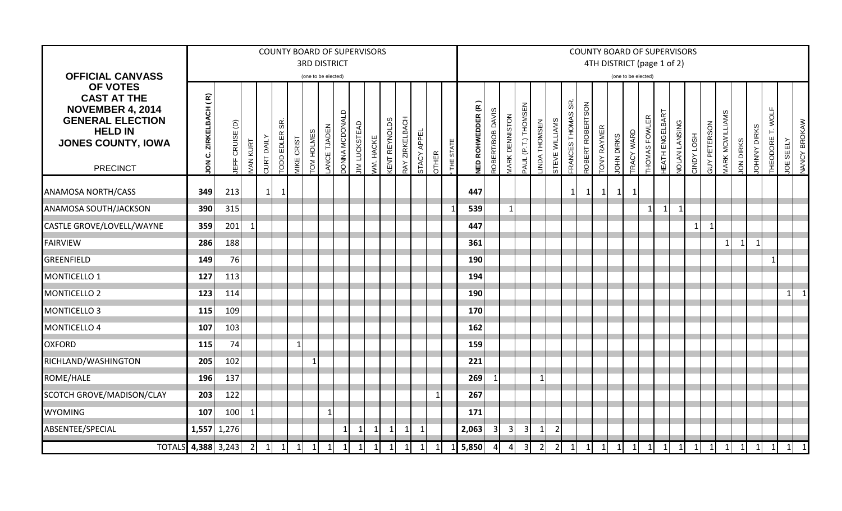|                                                                                      |                       |                |                |                   |               |                   | <b>COUNTY BOARD OF SUPERVISORS</b> |                                    |                      |               |                  |                             |                       |                |             |           |                          |                  |                              |                     |                |                |                      |                |                    |                  |                     |                | <b>COUNTY BOARD OF SUPERVISORS</b> |                     |                   |                     |                        |                  |              |                      |                |                     |
|--------------------------------------------------------------------------------------|-----------------------|----------------|----------------|-------------------|---------------|-------------------|------------------------------------|------------------------------------|----------------------|---------------|------------------|-----------------------------|-----------------------|----------------|-------------|-----------|--------------------------|------------------|------------------------------|---------------------|----------------|----------------|----------------------|----------------|--------------------|------------------|---------------------|----------------|------------------------------------|---------------------|-------------------|---------------------|------------------------|------------------|--------------|----------------------|----------------|---------------------|
|                                                                                      |                       |                |                |                   |               |                   | <b>3RD DISTRICT</b>                |                                    |                      |               |                  |                             |                       |                |             |           |                          |                  |                              |                     |                |                |                      |                |                    |                  |                     |                | 4TH DISTRICT (page 1 of 2)         |                     |                   |                     |                        |                  |              |                      |                |                     |
| <b>OFFICIAL CANVASS</b>                                                              |                       |                |                |                   |               |                   | (one to be elected)                |                                    |                      |               |                  |                             |                       |                |             |           |                          |                  |                              |                     |                |                |                      |                |                    |                  | (one to be elected) |                |                                    |                     |                   |                     |                        |                  |              |                      |                |                     |
| OF VOTES<br><b>CAST AT THE</b><br><b>NOVEMBER 4, 2014</b><br><b>GENERAL ELECTION</b> |                       |                |                |                   |               |                   |                                    |                                    |                      |               |                  |                             |                       |                |             |           |                          |                  |                              |                     |                |                | SR.<br><b>THOMAS</b> | NOS            |                    |                  |                     |                |                                    |                     |                   |                     |                        |                  |              | MOLF                 |                |                     |
| <b>HELD IN</b><br>JONES COUNTY, IOWA<br><b>PRECINCT</b>                              | JON C. ZIRKELBACH (R) | EFF CRUISE (D) | VAN KURT       | <b>CURT DAILY</b> | TODD EDLER SR | <b>AIKE CRIST</b> | TOM HOLMES                         | <b>TJADEN</b><br>ANCE <sup>-</sup> | <b>OUNA MCDONALD</b> | IIM LUCKSTEAD | <b>VM. HACKE</b> | <b><i>CENT REYNOLDS</i></b> | <b>RAY ZIRKELBACH</b> | STACY APPEL    | OTHER       | THE STATE | <b>JED ROHWEDDER (R)</b> | ROBERT/BOB DAVIS | <b><i>MARK DENNISTON</i></b> | PAUL (P.T.) THOMSEN | INDA THOMSEN   | STEVE WILLIAMS | <b>RANCES</b>        | ROBERT ROBERT  | <b>TONY RAYMER</b> | <b>OHN DIRKS</b> | <b>TRACY WARD</b>   | THOMAS FOWLER  | <b>IEATH ENGELBART</b>             | <b>OLAN LANSING</b> | <b>HSOT ADMIC</b> | <b>GUY PETERSON</b> | <b>JARK MCWILLIAMS</b> | <b>JON DIRKS</b> | JOHNNY DIRKS | Ë<br><b>THEODORE</b> | SEELY<br>JΘ    | <b>JANCY BROKAW</b> |
| <b>ANAMOSA NORTH/CASS</b>                                                            | 349                   | 213            |                | $1\,$             | $\mathbf{1}$  |                   |                                    |                                    |                      |               |                  |                             |                       |                |             |           | 447                      |                  |                              |                     |                |                | $\mathbf{1}$         | 1              | $\mathbf{1}$       | $\mathbf{1}$     |                     |                |                                    |                     |                   |                     |                        |                  |              |                      |                |                     |
| ANAMOSA SOUTH/JACKSON                                                                | 390                   | 315            |                |                   |               |                   |                                    |                                    |                      |               |                  |                             |                       |                |             |           | 539                      |                  | $\mathbf{1}$                 |                     |                |                |                      |                |                    |                  |                     |                | $\mathbf{1}$                       | $\mathbf{1}$        |                   |                     |                        |                  |              |                      |                |                     |
| CASTLE GROVE/LOVELL/WAYNE                                                            | 359                   | 201            | -1             |                   |               |                   |                                    |                                    |                      |               |                  |                             |                       |                |             |           | 447                      |                  |                              |                     |                |                |                      |                |                    |                  |                     |                |                                    |                     | $\mathbf{1}$      | $\mathbf{1}$        |                        |                  |              |                      |                |                     |
| <b>FAIRVIEW</b>                                                                      | 286                   | 188            |                |                   |               |                   |                                    |                                    |                      |               |                  |                             |                       |                |             |           | 361                      |                  |                              |                     |                |                |                      |                |                    |                  |                     |                |                                    |                     |                   |                     | 1                      | 1                | $\mathbf{1}$ |                      |                |                     |
| GREENFIELD                                                                           | 149                   | 76             |                |                   |               |                   |                                    |                                    |                      |               |                  |                             |                       |                |             |           | 190                      |                  |                              |                     |                |                |                      |                |                    |                  |                     |                |                                    |                     |                   |                     |                        |                  |              | 1                    |                |                     |
| MONTICELLO 1                                                                         | 127                   | 113            |                |                   |               |                   |                                    |                                    |                      |               |                  |                             |                       |                |             |           | 194                      |                  |                              |                     |                |                |                      |                |                    |                  |                     |                |                                    |                     |                   |                     |                        |                  |              |                      |                |                     |
| MONTICELLO <sub>2</sub>                                                              | 123                   | 114            |                |                   |               |                   |                                    |                                    |                      |               |                  |                             |                       |                |             |           | 190                      |                  |                              |                     |                |                |                      |                |                    |                  |                     |                |                                    |                     |                   |                     |                        |                  |              |                      | $\overline{1}$ |                     |
| MONTICELLO <sub>3</sub>                                                              | 115                   | 109            |                |                   |               |                   |                                    |                                    |                      |               |                  |                             |                       |                |             |           | 170                      |                  |                              |                     |                |                |                      |                |                    |                  |                     |                |                                    |                     |                   |                     |                        |                  |              |                      |                |                     |
| MONTICELLO 4                                                                         | 107                   | 103            |                |                   |               |                   |                                    |                                    |                      |               |                  |                             |                       |                |             |           | 162                      |                  |                              |                     |                |                |                      |                |                    |                  |                     |                |                                    |                     |                   |                     |                        |                  |              |                      |                |                     |
| <b>OXFORD</b>                                                                        | 115                   | 74             |                |                   |               | $\mathbf{1}$      |                                    |                                    |                      |               |                  |                             |                       |                |             |           | 159                      |                  |                              |                     |                |                |                      |                |                    |                  |                     |                |                                    |                     |                   |                     |                        |                  |              |                      |                |                     |
| RICHLAND/WASHINGTON                                                                  | 205                   | 102            |                |                   |               |                   | 1                                  |                                    |                      |               |                  |                             |                       |                |             |           | 221                      |                  |                              |                     |                |                |                      |                |                    |                  |                     |                |                                    |                     |                   |                     |                        |                  |              |                      |                |                     |
| ROME/HALE                                                                            | 196                   | 137            |                |                   |               |                   |                                    |                                    |                      |               |                  |                             |                       |                |             |           | 269                      | -1               |                              |                     | $\mathbf 1$    |                |                      |                |                    |                  |                     |                |                                    |                     |                   |                     |                        |                  |              |                      |                |                     |
| SCOTCH GROVE/MADISON/CLAY                                                            | 203                   | 122            |                |                   |               |                   |                                    |                                    |                      |               |                  |                             |                       |                | -1          |           | 267                      |                  |                              |                     |                |                |                      |                |                    |                  |                     |                |                                    |                     |                   |                     |                        |                  |              |                      |                |                     |
| <b>WYOMING</b>                                                                       | 107                   | 100            | $\mathbf{1}$   |                   |               |                   |                                    | $\mathbf{1}$                       |                      |               |                  |                             |                       |                |             |           | 171                      |                  |                              |                     |                |                |                      |                |                    |                  |                     |                |                                    |                     |                   |                     |                        |                  |              |                      |                |                     |
| ABSENTEE/SPECIAL                                                                     |                       | 1,557 1,276    |                |                   |               |                   |                                    |                                    | $\mathbf{1}$         | $\mathbf{1}$  | $\mathbf{1}$     | $\mathbf{1}$                | $1\vert$              | $\mathbf{1}$   |             |           | 2,063                    | 3                | $\overline{3}$               | $\overline{3}$      | $\mathbf{1}$   | $\overline{2}$ |                      |                |                    |                  |                     |                |                                    |                     |                   |                     |                        |                  |              |                      |                |                     |
| <b>TOTALS</b>                                                                        |                       | 4,388 3,243    | $\overline{2}$ | $\vert$ 1         | $\mathbf{1}$  | $\mathbf{1}$      | $\overline{1}$                     | $\overline{1}$                     | $\overline{1}$       | $\mathbf{1}$  | $\mathbf{1}$     | $\mathbf 1$                 | -1                    | $\overline{1}$ | $\mathbf 1$ |           | 5,850                    | $\overline{4}$   | $\overline{4}$               | 3                   | $\overline{2}$ | $\overline{2}$ | $\overline{1}$       | $\overline{1}$ | $\overline{1}$     | $\overline{1}$   | $\mathbf{1}$        | $\overline{1}$ | $\mathbf{1}$                       | $\mathbf{1}$        | $\mathbf{1}$      | 1                   | $\mathbf{1}$           | $\mathbf{1}$     | $\mathbf{1}$ | $\overline{1}$       | $\overline{1}$ |                     |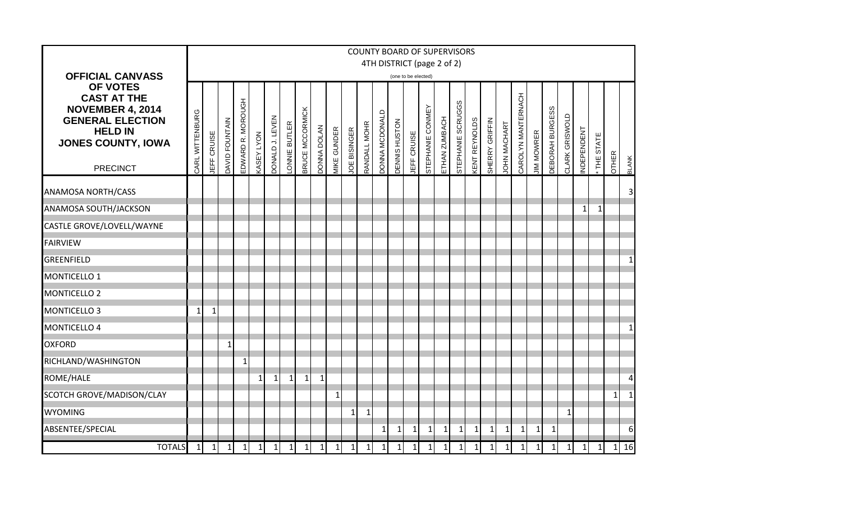|                                                                                                                                     |                 |                    |                       |                   |                   |                 |              |                 |             |                     |                     |              |                |               | <b>COUNTY BOARD OF SUPERVISORS</b><br>4TH DISTRICT (page 2 of 2) |                  |               |                   |                      |                |                 |                    |                   |                 |                |              |              |          |              |
|-------------------------------------------------------------------------------------------------------------------------------------|-----------------|--------------------|-----------------------|-------------------|-------------------|-----------------|--------------|-----------------|-------------|---------------------|---------------------|--------------|----------------|---------------|------------------------------------------------------------------|------------------|---------------|-------------------|----------------------|----------------|-----------------|--------------------|-------------------|-----------------|----------------|--------------|--------------|----------|--------------|
| <b>OFFICIAL CANVASS</b>                                                                                                             |                 |                    |                       |                   |                   |                 |              |                 |             |                     |                     |              |                |               | (one to be elected)                                              |                  |               |                   |                      |                |                 |                    |                   |                 |                |              |              |          |              |
| <b>OF VOTES</b><br><b>CAST AT THE</b><br><b>NOVEMBER 4, 2014</b><br><b>GENERAL ELECTION</b><br><b>HELD IN</b><br>JONES COUNTY, IOWA | CARL WITTENBURG | <b>JEFF CRUISE</b> | <b>DAVID FOUNTAIN</b> | EDWARD R. MOROUGH | <b>VOAT ABSKY</b> | OONALD J. LEVEN | ONNIE BUTLER | BRUCE MCCORMICK | DONNA DOLAN | <b>VIIKE GUNDER</b> | <b>JOE BISINGER</b> | RANDALL MOHR | DONNA MCDONALD | DENNIS HUSTON | JEFF CRUISE                                                      | STEPHANIE CONMEY | ETHAN ZUMBACH | STEPHANIE SCRUGGS | <b>KENT REYNOLDS</b> | SHERRY GRIFFIN | JOHN MACHART    | CAROLYN MANTERNACH | <b>JIM MOWRER</b> | DEBORAH BURGESS | CLARK GRISWOLD | NDEPENDENT   | THE STATE    | OTHER    |              |
| <b>PRECINCT</b>                                                                                                                     |                 |                    |                       |                   |                   |                 |              |                 |             |                     |                     |              |                |               |                                                                  |                  |               |                   |                      |                |                 |                    |                   |                 |                |              |              |          | <b>BLANK</b> |
| <b>ANAMOSA NORTH/CASS</b>                                                                                                           |                 |                    |                       |                   |                   |                 |              |                 |             |                     |                     |              |                |               |                                                                  |                  |               |                   |                      |                |                 |                    |                   |                 |                |              |              |          | 3            |
| <b>ANAMOSA SOUTH/JACKSON</b>                                                                                                        |                 |                    |                       |                   |                   |                 |              |                 |             |                     |                     |              |                |               |                                                                  |                  |               |                   |                      |                |                 |                    |                   |                 |                | $\mathbf{1}$ | $\mathbf{1}$ |          |              |
| CASTLE GROVE/LOVELL/WAYNE                                                                                                           |                 |                    |                       |                   |                   |                 |              |                 |             |                     |                     |              |                |               |                                                                  |                  |               |                   |                      |                |                 |                    |                   |                 |                |              |              |          |              |
| <b>FAIRVIEW</b>                                                                                                                     |                 |                    |                       |                   |                   |                 |              |                 |             |                     |                     |              |                |               |                                                                  |                  |               |                   |                      |                |                 |                    |                   |                 |                |              |              |          |              |
| <b>GREENFIELD</b>                                                                                                                   |                 |                    |                       |                   |                   |                 |              |                 |             |                     |                     |              |                |               |                                                                  |                  |               |                   |                      |                |                 |                    |                   |                 |                |              |              |          |              |
| MONTICELLO 1                                                                                                                        |                 |                    |                       |                   |                   |                 |              |                 |             |                     |                     |              |                |               |                                                                  |                  |               |                   |                      |                |                 |                    |                   |                 |                |              |              |          |              |
| <b>MONTICELLO 2</b>                                                                                                                 |                 |                    |                       |                   |                   |                 |              |                 |             |                     |                     |              |                |               |                                                                  |                  |               |                   |                      |                |                 |                    |                   |                 |                |              |              |          |              |
| <b>MONTICELLO 3</b>                                                                                                                 | 1               | $\mathbf{1}$       |                       |                   |                   |                 |              |                 |             |                     |                     |              |                |               |                                                                  |                  |               |                   |                      |                |                 |                    |                   |                 |                |              |              |          |              |
| MONTICELLO 4                                                                                                                        |                 |                    |                       |                   |                   |                 |              |                 |             |                     |                     |              |                |               |                                                                  |                  |               |                   |                      |                |                 |                    |                   |                 |                |              |              |          |              |
| <b>OXFORD</b>                                                                                                                       |                 |                    | $\mathbf{1}$          |                   |                   |                 |              |                 |             |                     |                     |              |                |               |                                                                  |                  |               |                   |                      |                |                 |                    |                   |                 |                |              |              |          |              |
| RICHLAND/WASHINGTON                                                                                                                 |                 |                    |                       | $\mathbf{1}$      |                   |                 |              |                 |             |                     |                     |              |                |               |                                                                  |                  |               |                   |                      |                |                 |                    |                   |                 |                |              |              |          |              |
| ROME/HALE                                                                                                                           |                 |                    |                       |                   | 1                 | 1               | $\mathbf{1}$ | $\mathbf 1$     | 1           |                     |                     |              |                |               |                                                                  |                  |               |                   |                      |                |                 |                    |                   |                 |                |              |              |          | Δ            |
| SCOTCH GROVE/MADISON/CLAY                                                                                                           |                 |                    |                       |                   |                   |                 |              |                 |             | $\mathbf{1}$        |                     |              |                |               |                                                                  |                  |               |                   |                      |                |                 |                    |                   |                 |                |              |              | 1        |              |
| <b>WYOMING</b>                                                                                                                      |                 |                    |                       |                   |                   |                 |              |                 |             |                     | 1                   | 1            |                |               |                                                                  |                  |               |                   |                      |                |                 |                    |                   |                 | $\mathbf{1}$   |              |              |          |              |
| <b>ABSENTEE/SPECIAL</b>                                                                                                             |                 |                    |                       |                   |                   |                 |              |                 |             |                     |                     |              | $\mathbf{1}$   | $\mathbf{1}$  | $\mathbf{1}$                                                     | $\mathbf{1}$     | $\mathbf{1}$  | $\mathbf{1}$      | $\mathbf{1}$         | $\mathbf 1$    | 1               | $\mathbf{1}$       | 1                 | 1               |                |              |              |          |              |
| <b>TOTALS</b>                                                                                                                       | 1 <sup>1</sup>  | 1                  | $\mathbf{1}$          | $\mathbf{1}$      | $\mathbf{1}$      | 1               | $1\vert$     | 1               | $1\vert$    | $\mathbf{1}$        | $\mathbf{1}$        | $1\vert$     | $1\vert$       | $\mathbf{1}$  | $\mathbf{1}$                                                     | $\mathbf{1}$     | $\mathbf{1}$  | $1\vert$          | $1\vert$             | $1\vert$       | $1\overline{ }$ | $\mathbf{1}$       | $1\vert$          | $1\vert$        | 1              | $\mathbf{1}$ | $\mathbf{1}$ | $1\vert$ | 16           |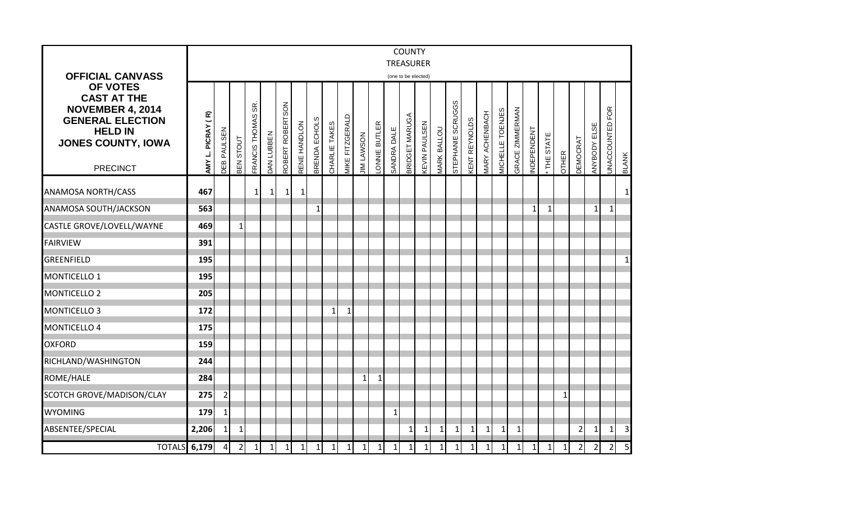|                                                                                                                                                 |                   |                 |                |                       |              |                  |              |               |               |                 |                   |              |              | <b>COUNTY</b>                    |                      |                    |                   |                            |                |                         |                 |            |             |              |                 |                |                        |                |
|-------------------------------------------------------------------------------------------------------------------------------------------------|-------------------|-----------------|----------------|-----------------------|--------------|------------------|--------------|---------------|---------------|-----------------|-------------------|--------------|--------------|----------------------------------|----------------------|--------------------|-------------------|----------------------------|----------------|-------------------------|-----------------|------------|-------------|--------------|-----------------|----------------|------------------------|----------------|
| <b>OFFICIAL CANVASS</b>                                                                                                                         |                   |                 |                |                       |              |                  |              |               |               |                 |                   |              |              | TREASURER<br>(one to be elected) |                      |                    |                   |                            |                |                         |                 |            |             |              |                 |                |                        |                |
| OF VOTES<br><b>CAST AT THE</b><br><b>NOVEMBER 4, 2014</b><br><b>GENERAL ELECTION</b><br><b>HELD IN</b><br>JONES COUNTY, IOWA<br><b>PRECINCT</b> | AMY L. PICRAY (R) | DEB PAULSEN     | BEN STOUT      | SR.<br>FRANCIS THOMAS | DAN LUBBEN   | ROBERT ROBERTSON | RENE HANDLON | BRENDA ECHOLS | CHARLIE TAKES | MIKE FITZGERALD | <b>JIM LAWSON</b> | ONNIE BUTLER | SANDRA DALE  | BRIDGET MARUGA                   | <b>KEVIN PAULSEN</b> | <b>MARK BALLOU</b> | STEPHANIE SCRUGGS | <b><i>ENT REYNOLDS</i></b> | MARY ACHENBACH | <b>AICHELLE TOENJES</b> | GRACE ZIMMERMAN | NDEPENDENT | THE STATE   | <b>OTHER</b> | <b>DEMOCRAT</b> | ANYBODY ELSE   | <b>UNACCOUNTED FOR</b> | <b>BLANK</b>   |
| <b>ANAMOSA NORTH/CASS</b>                                                                                                                       | 467               |                 |                | $\mathbf{1}$          | $\mathbf{1}$ | $\mathbf{1}$     | $\mathbf{1}$ |               |               |                 |                   |              |              |                                  |                      |                    |                   |                            |                |                         |                 |            |             |              |                 |                |                        |                |
| <b>ANAMOSA SOUTH/JACKSON</b>                                                                                                                    | 563               |                 |                |                       |              |                  |              | 1             |               |                 |                   |              |              |                                  |                      |                    |                   |                            |                |                         |                 | 1          | $\mathbf 1$ |              |                 | 1              | 1                      |                |
| CASTLE GROVE/LOVELL/WAYNE                                                                                                                       | 469               |                 | $\mathbf{1}$   |                       |              |                  |              |               |               |                 |                   |              |              |                                  |                      |                    |                   |                            |                |                         |                 |            |             |              |                 |                |                        |                |
| <b>FAIRVIEW</b>                                                                                                                                 | 391               |                 |                |                       |              |                  |              |               |               |                 |                   |              |              |                                  |                      |                    |                   |                            |                |                         |                 |            |             |              |                 |                |                        |                |
| <b>GREENFIELD</b>                                                                                                                               | 195               |                 |                |                       |              |                  |              |               |               |                 |                   |              |              |                                  |                      |                    |                   |                            |                |                         |                 |            |             |              |                 |                |                        |                |
| MONTICELLO 1                                                                                                                                    | 195               |                 |                |                       |              |                  |              |               |               |                 |                   |              |              |                                  |                      |                    |                   |                            |                |                         |                 |            |             |              |                 |                |                        |                |
| <b>MONTICELLO 2</b>                                                                                                                             | 205               |                 |                |                       |              |                  |              |               |               |                 |                   |              |              |                                  |                      |                    |                   |                            |                |                         |                 |            |             |              |                 |                |                        |                |
| MONTICELLO <sub>3</sub>                                                                                                                         | 172               |                 |                |                       |              |                  |              |               | 1             | $\mathbf{1}$    |                   |              |              |                                  |                      |                    |                   |                            |                |                         |                 |            |             |              |                 |                |                        |                |
| MONTICELLO 4                                                                                                                                    | 175               |                 |                |                       |              |                  |              |               |               |                 |                   |              |              |                                  |                      |                    |                   |                            |                |                         |                 |            |             |              |                 |                |                        |                |
| <b>OXFORD</b>                                                                                                                                   | 159               |                 |                |                       |              |                  |              |               |               |                 |                   |              |              |                                  |                      |                    |                   |                            |                |                         |                 |            |             |              |                 |                |                        |                |
| RICHLAND/WASHINGTON                                                                                                                             | 244               |                 |                |                       |              |                  |              |               |               |                 |                   |              |              |                                  |                      |                    |                   |                            |                |                         |                 |            |             |              |                 |                |                        |                |
| ROME/HALE                                                                                                                                       | 284               |                 |                |                       |              |                  |              |               |               |                 | 1                 | $\mathbf{1}$ |              |                                  |                      |                    |                   |                            |                |                         |                 |            |             |              |                 |                |                        |                |
| SCOTCH GROVE/MADISON/CLAY                                                                                                                       | 275               | $\overline{2}$  |                |                       |              |                  |              |               |               |                 |                   |              |              |                                  |                      |                    |                   |                            |                |                         |                 |            |             | $\mathbf{1}$ |                 |                |                        |                |
| <b>WYOMING</b>                                                                                                                                  | 179               | $1\overline{ }$ |                |                       |              |                  |              |               |               |                 |                   |              | $\mathbf{1}$ |                                  |                      |                    |                   |                            |                |                         |                 |            |             |              |                 |                |                        |                |
| ABSENTEE/SPECIAL                                                                                                                                | 2,206             | 1 <sup>1</sup>  | $\mathbf{1}$   |                       |              |                  |              |               |               |                 |                   |              |              | $\mathbf{1}$                     | 1                    | $1\vert$           | $1\vert$          | $\mathbf{1}$               | 1              | 1                       | 1               |            |             |              | $\overline{2}$  | 1              | $\mathbf{1}$           | 3              |
| <b>TOTALS</b>                                                                                                                                   | 6,179             | $\overline{4}$  | $\overline{2}$ | $\vert$ 1             | $1\vert$     | $\mathbf 1$      | 1            | $1\vert$      | 1             | $\vert$ 1       | $\vert$ 1         | $\vert$ 1    | $\mathbf 1$  | $1\vert$                         | $\vert$ 1            | 1                  | $\mathbf{1}$      | $\vert$ 1                  | $1\vert$       | $\mathbf 1$             | $1\vert$        | $1\vert$   | $\vert$ 1   | $\mathbf 1$  | $\overline{2}$  | $\overline{2}$ | $\mathbf 2$            | 5 <sub>l</sub> |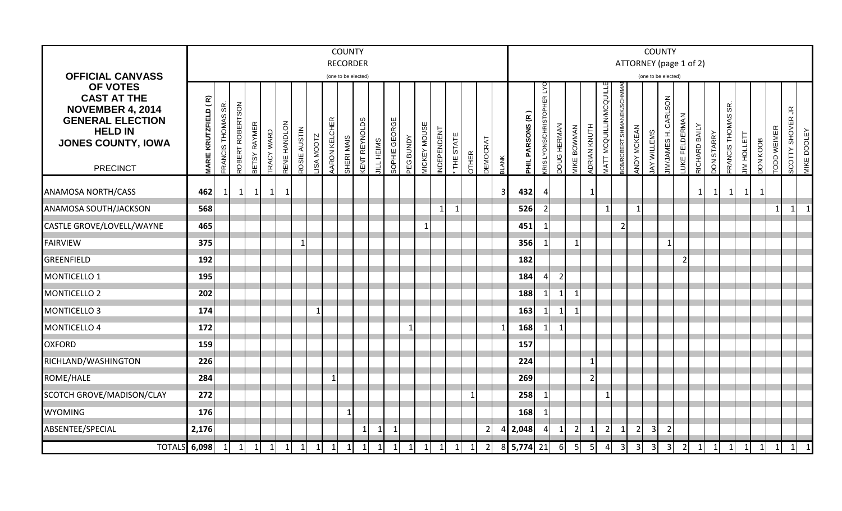|                                                                                                                  |                                    |                           |                  |                     |                   |              |              |                  |                      | <b>COUNTY</b>       |                     |              |               |                  |                            |            |           |              |                 |              |                   |                                   |                    |                    |              |                               |                           |                         | <b>COUNTY</b>           |                               |                        |                      |                   |                              |              |                  |                    |                  |                     |
|------------------------------------------------------------------------------------------------------------------|------------------------------------|---------------------------|------------------|---------------------|-------------------|--------------|--------------|------------------|----------------------|---------------------|---------------------|--------------|---------------|------------------|----------------------------|------------|-----------|--------------|-----------------|--------------|-------------------|-----------------------------------|--------------------|--------------------|--------------|-------------------------------|---------------------------|-------------------------|-------------------------|-------------------------------|------------------------|----------------------|-------------------|------------------------------|--------------|------------------|--------------------|------------------|---------------------|
|                                                                                                                  |                                    |                           |                  |                     |                   |              |              |                  |                      | <b>RECORDER</b>     |                     |              |               |                  |                            |            |           |              |                 |              |                   |                                   |                    |                    |              |                               |                           |                         |                         |                               | ATTORNEY (page 1 of 2) |                      |                   |                              |              |                  |                    |                  |                     |
| <b>OFFICIAL CANVASS</b><br>OF VOTES                                                                              |                                    |                           |                  |                     |                   |              |              |                  |                      | (one to be elected) |                     |              |               |                  |                            |            |           |              |                 |              |                   |                                   |                    |                    |              |                               |                           |                         | (one to be elected)     |                               |                        |                      |                   |                              |              |                  |                    |                  |                     |
| <b>CAST AT THE</b><br><b>NOVEMBER 4, 2014</b><br><b>GENERAL ELECTION</b><br><b>HELD IN</b><br>JONES COUNTY, IOWA | <b><i>IARIE KRUTZFIELD (R)</i></b> | <b>FRANCIS THOMAS SR.</b> | ROBERT ROBERTSON | <b>BETSY RAYMER</b> | <b>TRACY WARD</b> | RENE HANDLON | ROSIE AUSTIN | <b>ISA MOOTZ</b> | <b>VARON KELCHER</b> | SHERI MAIS          | <b>ENT REYNOLDS</b> | JILL HEIMS   | SOPHIE GEORGE | <b>PEG BUNDY</b> | <b><i>AICKEY MOUSE</i></b> | NDEPENDENT | THE STATE | <b>OTHER</b> | <b>JEMOCRAT</b> |              | E<br>PHIL PARSONS | <b>KRIS LYONS/CHRISTOPHER LYC</b> | <b>DOUG HERMAN</b> | <b>AIKE BOWMAN</b> | ADRIAN KNUTH | <b>MATT MCQUILLIN/MCQUILL</b> | OB/ROBERT SHIMANEK/SCHMMA | ANDY MCKEAN             | AY WILLEMS              | CARLSON<br><b>JIM/JAMESH.</b> | <b>UKE FELDERMAN</b>   | <b>RICHARD BAILY</b> | <b>DON STARRY</b> | န္တ<br><b>FRANCIS THOMAS</b> | JIM HOLLETT  | <b>SOON KOOB</b> | <b>TODD WEIMER</b> | SCOTTY SHOVER JR | <b>VIIKE DOOLEY</b> |
| <b>PRECINCT</b>                                                                                                  |                                    |                           |                  |                     |                   |              |              |                  |                      |                     |                     |              |               |                  |                            |            |           |              |                 | <b>SLANK</b> |                   |                                   |                    |                    |              |                               |                           |                         |                         |                               |                        |                      |                   |                              |              |                  |                    |                  |                     |
| <b>ANAMOSA NORTH/CASS</b>                                                                                        | 462                                | 1                         | $\mathbf{1}$     | $\mathbf{1}$        | 1                 | $\mathbf{1}$ |              |                  |                      |                     |                     |              |               |                  |                            |            |           |              |                 | 3            | 432               | Δ                                 |                    |                    |              |                               |                           |                         |                         |                               |                        | $\mathbf{1}$         |                   | $\mathbf{1}$                 | $\mathbf{1}$ | $\mathbf 1$      |                    |                  |                     |
| ANAMOSA SOUTH/JACKSON                                                                                            | 568                                |                           |                  |                     |                   |              |              |                  |                      |                     |                     |              |               |                  |                            |            |           |              |                 |              | 526               |                                   |                    |                    |              |                               |                           |                         |                         |                               |                        |                      |                   |                              |              |                  | -1                 |                  | $\overline{1}$      |
| CASTLE GROVE/LOVELL/WAYNE                                                                                        | 465                                |                           |                  |                     |                   |              |              |                  |                      |                     |                     |              |               |                  |                            |            |           |              |                 |              | 451               |                                   |                    |                    |              |                               | $\overline{2}$            |                         |                         |                               |                        |                      |                   |                              |              |                  |                    |                  |                     |
| <b>FAIRVIEW</b>                                                                                                  | 375                                |                           |                  |                     |                   |              | $\mathbf 1$  |                  |                      |                     |                     |              |               |                  |                            |            |           |              |                 |              | 356               |                                   |                    |                    |              |                               |                           |                         |                         | -1                            |                        |                      |                   |                              |              |                  |                    |                  |                     |
| <b>GREENFIELD</b>                                                                                                | 192                                |                           |                  |                     |                   |              |              |                  |                      |                     |                     |              |               |                  |                            |            |           |              |                 |              | 182               |                                   |                    |                    |              |                               |                           |                         |                         |                               | $\overline{2}$         |                      |                   |                              |              |                  |                    |                  |                     |
| MONTICELLO 1                                                                                                     | 195                                |                           |                  |                     |                   |              |              |                  |                      |                     |                     |              |               |                  |                            |            |           |              |                 |              | 184               |                                   | $\overline{2}$     |                    |              |                               |                           |                         |                         |                               |                        |                      |                   |                              |              |                  |                    |                  |                     |
| <b>MONTICELLO 2</b>                                                                                              | 202                                |                           |                  |                     |                   |              |              |                  |                      |                     |                     |              |               |                  |                            |            |           |              |                 |              | 188               |                                   | 1                  |                    |              |                               |                           |                         |                         |                               |                        |                      |                   |                              |              |                  |                    |                  |                     |
| MONTICELLO <sub>3</sub>                                                                                          | 174                                |                           |                  |                     |                   |              |              | -1               |                      |                     |                     |              |               |                  |                            |            |           |              |                 |              | 163               |                                   | -1                 |                    |              |                               |                           |                         |                         |                               |                        |                      |                   |                              |              |                  |                    |                  |                     |
| MONTICELLO 4                                                                                                     | 172                                |                           |                  |                     |                   |              |              |                  |                      |                     |                     |              |               | -1               |                            |            |           |              |                 |              | 168               | $\mathbf 1$                       | $\mathbf{1}$       |                    |              |                               |                           |                         |                         |                               |                        |                      |                   |                              |              |                  |                    |                  |                     |
| <b>OXFORD</b>                                                                                                    | 159                                |                           |                  |                     |                   |              |              |                  |                      |                     |                     |              |               |                  |                            |            |           |              |                 |              | 157               |                                   |                    |                    |              |                               |                           |                         |                         |                               |                        |                      |                   |                              |              |                  |                    |                  |                     |
| RICHLAND/WASHINGTON                                                                                              | 226                                |                           |                  |                     |                   |              |              |                  |                      |                     |                     |              |               |                  |                            |            |           |              |                 |              | 224               |                                   |                    |                    | -1           |                               |                           |                         |                         |                               |                        |                      |                   |                              |              |                  |                    |                  |                     |
| ROME/HALE                                                                                                        | 284                                |                           |                  |                     |                   |              |              |                  | $\mathbf{1}$         |                     |                     |              |               |                  |                            |            |           |              |                 |              | 269               |                                   |                    |                    | 2            |                               |                           |                         |                         |                               |                        |                      |                   |                              |              |                  |                    |                  |                     |
| SCOTCH GROVE/MADISON/CLAY                                                                                        | 272                                |                           |                  |                     |                   |              |              |                  |                      |                     |                     |              |               |                  |                            |            |           | $\mathbf{1}$ |                 |              | 258               |                                   |                    |                    |              |                               |                           |                         |                         |                               |                        |                      |                   |                              |              |                  |                    |                  |                     |
| <b>WYOMING</b>                                                                                                   | 176                                |                           |                  |                     |                   |              |              |                  |                      | -1                  |                     |              |               |                  |                            |            |           |              |                 |              | 168               |                                   |                    |                    |              |                               |                           |                         |                         |                               |                        |                      |                   |                              |              |                  |                    |                  |                     |
| ABSENTEE/SPECIAL                                                                                                 | 2,176                              |                           |                  |                     |                   |              |              |                  |                      |                     | -1                  | -1           | -1            |                  |                            |            |           |              | $\overline{2}$  |              | 2,048             | 4                                 | $\mathbf{1}$       | $\overline{2}$     | -1           | $\overline{2}$                |                           | $\overline{2}$          | $\overline{\mathbf{3}}$ | $\overline{2}$                |                        |                      |                   |                              |              |                  |                    |                  |                     |
| <b>TOTALS</b> 6,098                                                                                              |                                    | 1                         | $\mathbf{1}$     | $\mathbf{1}$        | $\vert$ 1         | $\mathbf{1}$ | $\mathbf{1}$ | $\mathbf{1}$     | $\mathbf{1}$         | $\mathbf{1}$        | $\mathbf{1}$        | $\mathbf{1}$ | $\mathbf{1}$  | 1                | $\mathbf{1}$               | $\vert$ 1  | 1         | $\mathbf{1}$ | $\overline{2}$  |              | 8 5,774 21        |                                   | 6                  | 5                  | 5            | $\overline{a}$                | $\overline{\mathbf{3}}$   | $\overline{\mathbf{3}}$ | $\overline{\mathbf{3}}$ | $\overline{\mathbf{3}}$       | $\left  \right $       | $\mathbf{1}$         | $\mathbf{1}$      | -1                           | 1            | $\mathbf 1$      |                    |                  | $\mathbf{1}$        |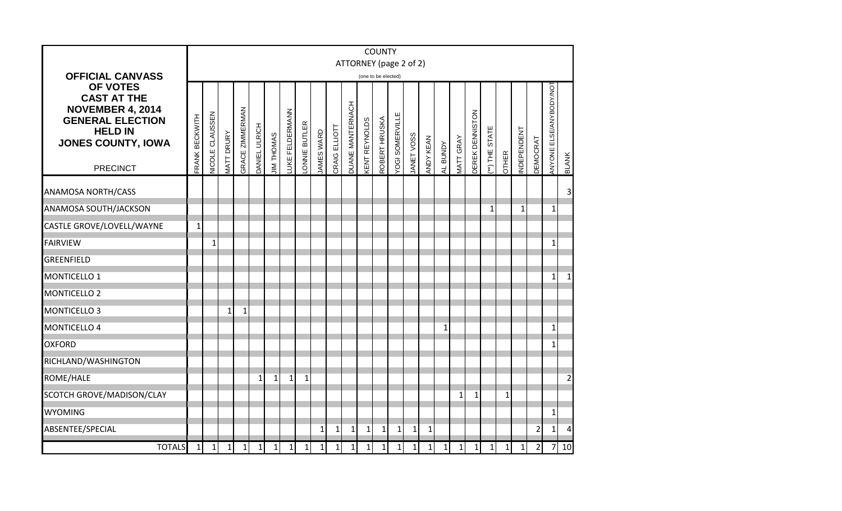|                                                                                                                                     |                |                        |                    |                 |               |                   |                       |              |                   |               |                         |                      | <b>COUNTY</b>       |                 |                  |              |              |                  |                 |               |              |              |                 |                         |                         |
|-------------------------------------------------------------------------------------------------------------------------------------|----------------|------------------------|--------------------|-----------------|---------------|-------------------|-----------------------|--------------|-------------------|---------------|-------------------------|----------------------|---------------------|-----------------|------------------|--------------|--------------|------------------|-----------------|---------------|--------------|--------------|-----------------|-------------------------|-------------------------|
|                                                                                                                                     |                |                        |                    |                 |               |                   |                       |              |                   |               | ATTORNEY (page 2 of 2)  |                      |                     |                 |                  |              |              |                  |                 |               |              |              |                 |                         |                         |
| <b>OFFICIAL CANVASS</b><br><b>OF VOTES</b>                                                                                          |                |                        |                    |                 |               |                   |                       |              |                   |               |                         |                      | (one to be elected) |                 |                  |              |              |                  |                 |               |              |              |                 |                         |                         |
| <b>CAST AT THE</b><br><b>NOVEMBER 4, 2014</b><br><b>GENERAL ELECTION</b><br><b>HELD IN</b><br>JONES COUNTY, IOWA<br><b>PRECINCT</b> | FRANK BECKWITH | <b>VICOLE CLAUSSEN</b> | <b>VIATT DRURY</b> | GRACE ZIMMERMAN | DANIEL ULRICH | <b>JIM THOMAS</b> | <b>UKE FELDERMANN</b> | ONNIE BUTLER | <b>JAMES WARD</b> | CRAIG ELLIOTT | <b>DUANE MANTERNACH</b> | <b>KENT REYNOLDS</b> | ROBERT HRUSKA       | YOGI SOMERVILLE | <b>ANET VOSS</b> | ANDY KEAN    | AL BUNDY     | <b>MATT GRAY</b> | DEREK DENNISTON | **) THE STATE | <b>OTHER</b> | NDEPENDENT   | <b>DEMOCRAT</b> | ANYONE ELSE/ANYBODY/NOT | <b>BLANK</b>            |
| <b>ANAMOSA NORTH/CASS</b>                                                                                                           |                |                        |                    |                 |               |                   |                       |              |                   |               |                         |                      |                     |                 |                  |              |              |                  |                 |               |              |              |                 |                         | 3                       |
| ANAMOSA SOUTH/JACKSON                                                                                                               |                |                        |                    |                 |               |                   |                       |              |                   |               |                         |                      |                     |                 |                  |              |              |                  |                 | $\mathbf 1$   |              | $\mathbf{1}$ |                 | 1                       |                         |
| CASTLE GROVE/LOVELL/WAYNE                                                                                                           | $\mathbf{1}$   |                        |                    |                 |               |                   |                       |              |                   |               |                         |                      |                     |                 |                  |              |              |                  |                 |               |              |              |                 |                         |                         |
| <b>FAIRVIEW</b>                                                                                                                     |                | $\mathbf 1$            |                    |                 |               |                   |                       |              |                   |               |                         |                      |                     |                 |                  |              |              |                  |                 |               |              |              |                 | 1                       |                         |
| <b>GREENFIELD</b>                                                                                                                   |                |                        |                    |                 |               |                   |                       |              |                   |               |                         |                      |                     |                 |                  |              |              |                  |                 |               |              |              |                 |                         |                         |
| MONTICELLO 1                                                                                                                        |                |                        |                    |                 |               |                   |                       |              |                   |               |                         |                      |                     |                 |                  |              |              |                  |                 |               |              |              |                 | $\mathbf{1}$            | 1                       |
| <b>MONTICELLO 2</b>                                                                                                                 |                |                        |                    |                 |               |                   |                       |              |                   |               |                         |                      |                     |                 |                  |              |              |                  |                 |               |              |              |                 |                         |                         |
| <b>MONTICELLO 3</b>                                                                                                                 |                |                        | $\mathbf{1}$       | $\mathbf{1}$    |               |                   |                       |              |                   |               |                         |                      |                     |                 |                  |              |              |                  |                 |               |              |              |                 |                         |                         |
| MONTICELLO 4                                                                                                                        |                |                        |                    |                 |               |                   |                       |              |                   |               |                         |                      |                     |                 |                  |              | $\mathbf{1}$ |                  |                 |               |              |              |                 | $\mathbf{1}$            |                         |
| <b>OXFORD</b>                                                                                                                       |                |                        |                    |                 |               |                   |                       |              |                   |               |                         |                      |                     |                 |                  |              |              |                  |                 |               |              |              |                 | 1                       |                         |
| RICHLAND/WASHINGTON                                                                                                                 |                |                        |                    |                 |               |                   |                       |              |                   |               |                         |                      |                     |                 |                  |              |              |                  |                 |               |              |              |                 |                         |                         |
| ROME/HALE                                                                                                                           |                |                        |                    |                 | $\mathbf{1}$  | $\mathbf{1}$      | 1                     | 1            |                   |               |                         |                      |                     |                 |                  |              |              |                  |                 |               |              |              |                 |                         | $\overline{\mathbf{c}}$ |
| SCOTCH GROVE/MADISON/CLAY                                                                                                           |                |                        |                    |                 |               |                   |                       |              |                   |               |                         |                      |                     |                 |                  |              |              | $\mathbf{1}$     | 1               |               | $\mathbf{1}$ |              |                 |                         |                         |
| <b>WYOMING</b>                                                                                                                      |                |                        |                    |                 |               |                   |                       |              |                   |               |                         |                      |                     |                 |                  |              |              |                  |                 |               |              |              |                 | $\mathbf{1}$            |                         |
| ABSENTEE/SPECIAL                                                                                                                    |                |                        |                    |                 |               |                   |                       |              | $\mathbf{1}$      | $\mathbf{1}$  | $\mathbf{1}$            | $\mathbf{1}$         | 1                   | $\mathbf{1}$    | 1                | $\mathbf{1}$ |              |                  |                 |               |              |              | $\overline{2}$  | $\mathbf{1}$            | 4                       |
| <b>TOTALS</b>                                                                                                                       | $1\vert$       | $1\vert$               | $\vert$ 1          | $\mathbf 1$     | $\mathbf{1}$  | $1\vert$          | $\mathbf 1$           | $\mathbf 1$  | $1\vert$          | $\mathbf 1$   | $\mathbf 1$             | $\mathbf{1}$         | $\mathbf 1$         | $\mathbf 1$     | $\mathbf{1}$     | $1\vert$     | $1\vert$     | $1\vert$         | $\mathbf{1}$    | $\mathbf 1$   | $\mathbf 1$  | $\mathbf 1$  | $\overline{2}$  | $\overline{7}$          | 10                      |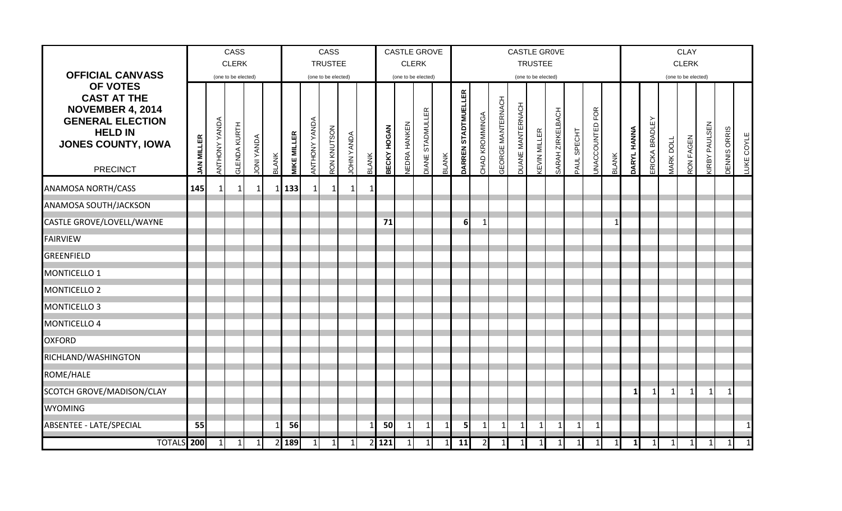|                                                                 |                  |                         | CASS                   |                   |              |                    |               | CASS                |              |              |             |                     | CASTLE GROVE               |              |                     |                |                          | <b>CASTLE GROVE</b>     |                     |                  |             |                    |              |                    |                |                  | <b>CLAY</b>         |                      |                     |                   |
|-----------------------------------------------------------------|------------------|-------------------------|------------------------|-------------------|--------------|--------------------|---------------|---------------------|--------------|--------------|-------------|---------------------|----------------------------|--------------|---------------------|----------------|--------------------------|-------------------------|---------------------|------------------|-------------|--------------------|--------------|--------------------|----------------|------------------|---------------------|----------------------|---------------------|-------------------|
|                                                                 |                  |                         | <b>CLERK</b>           |                   |              |                    |               | <b>TRUSTEE</b>      |              |              |             |                     | <b>CLERK</b>               |              |                     |                |                          |                         | <b>TRUSTEE</b>      |                  |             |                    |              |                    |                |                  | <b>CLERK</b>        |                      |                     |                   |
| <b>OFFICIAL CANVASS</b>                                         |                  |                         | (one to be elected)    |                   |              |                    |               | (one to be elected) |              |              |             |                     | (one to be elected)        |              |                     |                |                          |                         | (one to be elected) |                  |             |                    |              |                    |                |                  | (one to be elected) |                      |                     |                   |
| OF VOTES<br><b>CAST AT THE</b><br><b>NOVEMBER 4, 2014</b>       |                  |                         |                        |                   |              |                    |               |                     |              |              |             |                     |                            |              |                     |                |                          |                         |                     |                  |             | FOR                |              |                    |                |                  |                     |                      |                     |                   |
| <b>GENERAL ELECTION</b><br><b>HELD IN</b><br>JONES COUNTY, IOWA | <b>AN MILLER</b> | YANDA<br><b>ANDHTUA</b> | KURTH<br><b>GLENDA</b> | <b>AQNAY INDI</b> | <b>BLANK</b> | <b>MIKE MILLER</b> | ANTHONY YANDA | RON KNUTSON         | JOHN YANDA   | <b>BLANK</b> | BECKY HOGAN | <b>VEDRA HANKEN</b> | <b>STADMULLER</b><br>DIANE | <b>BLANK</b> | DARREN STADTMUELLER | CHAD KROMMINGA | <b>GEORGE MANTERNACH</b> | <b>DUANE MANTERNACH</b> | <b>KEVIN MILLER</b> | SARAH ZIRKELBACH | PAUL SPECHT | <b>JNACCOUNTED</b> | <b>BLANK</b> | <b>DARYL HANNA</b> | ERICKA BRADLEY | <b>IARK DOLL</b> | RON FAGEN           | <b>KIRBY PAULSEN</b> | <b>DENNIS ORRIS</b> | <b>JUKE COYLE</b> |
| <b>PRECINCT</b>                                                 |                  |                         |                        |                   |              |                    |               |                     |              |              |             |                     |                            |              |                     |                |                          |                         |                     |                  |             |                    |              |                    |                |                  |                     |                      |                     |                   |
| ANAMOSA NORTH/CASS                                              | 145              | 1                       | 1                      | $\mathbf{1}$      |              | $1$   133          |               |                     |              |              |             |                     |                            |              |                     |                |                          |                         |                     |                  |             |                    |              |                    |                |                  |                     |                      |                     |                   |
| ANAMOSA SOUTH/JACKSON                                           |                  |                         |                        |                   |              |                    |               |                     |              |              |             |                     |                            |              |                     |                |                          |                         |                     |                  |             |                    |              |                    |                |                  |                     |                      |                     |                   |
| CASTLE GROVE/LOVELL/WAYNE                                       |                  |                         |                        |                   |              |                    |               |                     |              |              | 71          |                     |                            |              | 6                   | $\mathbf{1}$   |                          |                         |                     |                  |             |                    |              |                    |                |                  |                     |                      |                     |                   |
| <b>FAIRVIEW</b>                                                 |                  |                         |                        |                   |              |                    |               |                     |              |              |             |                     |                            |              |                     |                |                          |                         |                     |                  |             |                    |              |                    |                |                  |                     |                      |                     |                   |
| GREENFIELD                                                      |                  |                         |                        |                   |              |                    |               |                     |              |              |             |                     |                            |              |                     |                |                          |                         |                     |                  |             |                    |              |                    |                |                  |                     |                      |                     |                   |
| MONTICELLO 1                                                    |                  |                         |                        |                   |              |                    |               |                     |              |              |             |                     |                            |              |                     |                |                          |                         |                     |                  |             |                    |              |                    |                |                  |                     |                      |                     |                   |
| <b>MONTICELLO 2</b>                                             |                  |                         |                        |                   |              |                    |               |                     |              |              |             |                     |                            |              |                     |                |                          |                         |                     |                  |             |                    |              |                    |                |                  |                     |                      |                     |                   |
| <b>MONTICELLO 3</b>                                             |                  |                         |                        |                   |              |                    |               |                     |              |              |             |                     |                            |              |                     |                |                          |                         |                     |                  |             |                    |              |                    |                |                  |                     |                      |                     |                   |
| MONTICELLO 4                                                    |                  |                         |                        |                   |              |                    |               |                     |              |              |             |                     |                            |              |                     |                |                          |                         |                     |                  |             |                    |              |                    |                |                  |                     |                      |                     |                   |
| <b>OXFORD</b>                                                   |                  |                         |                        |                   |              |                    |               |                     |              |              |             |                     |                            |              |                     |                |                          |                         |                     |                  |             |                    |              |                    |                |                  |                     |                      |                     |                   |
| RICHLAND/WASHINGTON                                             |                  |                         |                        |                   |              |                    |               |                     |              |              |             |                     |                            |              |                     |                |                          |                         |                     |                  |             |                    |              |                    |                |                  |                     |                      |                     |                   |
| ROME/HALE                                                       |                  |                         |                        |                   |              |                    |               |                     |              |              |             |                     |                            |              |                     |                |                          |                         |                     |                  |             |                    |              |                    |                |                  |                     |                      |                     |                   |
| SCOTCH GROVE/MADISON/CLAY                                       |                  |                         |                        |                   |              |                    |               |                     |              |              |             |                     |                            |              |                     |                |                          |                         |                     |                  |             |                    |              | $\mathbf{1}$       | $\mathbf{1}$   | $\mathbf{1}$     | $\mathbf{1}$        | $\mathbf{1}$         | $\mathbf{1}$        |                   |
| <b>WYOMING</b>                                                  |                  |                         |                        |                   |              |                    |               |                     |              |              |             |                     |                            |              |                     |                |                          |                         |                     |                  |             |                    |              |                    |                |                  |                     |                      |                     |                   |
| ABSENTEE - LATE/SPECIAL                                         | 55               |                         |                        |                   |              | 56                 |               |                     |              |              | 50          | -1                  | 1                          | 1            | 5                   | 1              | 1                        | 1                       | 1                   | 1                | 1           |                    |              |                    |                |                  |                     |                      |                     | $\vert$ 1         |
| <b>TOTALS</b> 200                                               |                  | 1                       | $\vert$ 1              | $1\vert$          |              | 2 189              | $1\vert$      | 1                   | $\mathbf{1}$ |              | $2$ 121     | $\mathbf{1}$        | $\mathbf{1}$               | $\mathbf{1}$ | 11                  | $\overline{2}$ | $\mathbf{1}$             | $\mathbf{1}$            | $\vert$ 1           | $\vert$ 1        | $\vert$ 1   | $1\vert$           | 1            | $\mathbf{1}$       | 1              | $\vert$ 1        | $\mathbf{1}$        | $\vert$ 1            | 1                   | $\mathbf{1}$      |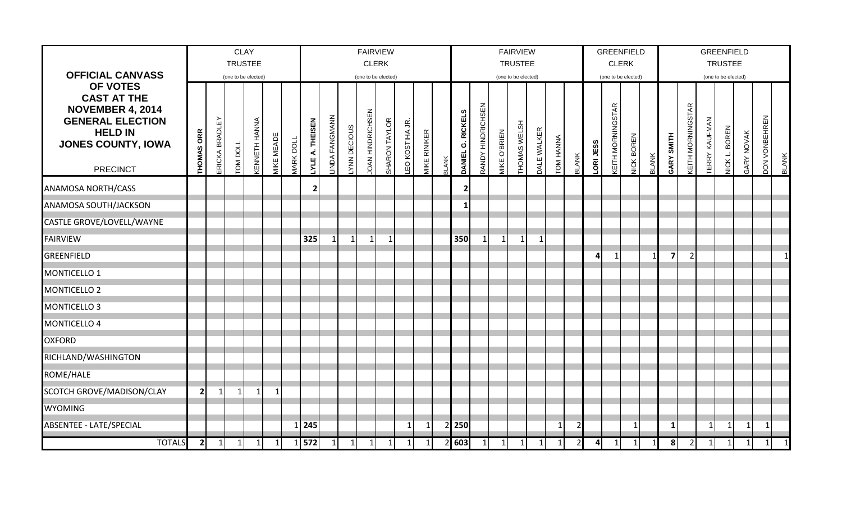|                                                                                                                                                 |                         |                |              | <b>CLAY</b>             |                          |                  |                       |               |             |                        | <b>FAIRVIEW</b>     |               |                            |             |                   |                   |                                | <b>FAIRVIEW</b>     |                    |           |                |          | <b>GREENFIELD</b>        |                   |              |                         |                          |                      | <b>GREENFIELD</b>    |                   |                      |              |
|-------------------------------------------------------------------------------------------------------------------------------------------------|-------------------------|----------------|--------------|-------------------------|--------------------------|------------------|-----------------------|---------------|-------------|------------------------|---------------------|---------------|----------------------------|-------------|-------------------|-------------------|--------------------------------|---------------------|--------------------|-----------|----------------|----------|--------------------------|-------------------|--------------|-------------------------|--------------------------|----------------------|----------------------|-------------------|----------------------|--------------|
|                                                                                                                                                 |                         |                |              | <b>TRUSTEE</b>          |                          |                  |                       |               |             |                        | <b>CLERK</b>        |               |                            |             |                   |                   |                                | <b>TRUSTEE</b>      |                    |           |                |          | <b>CLERK</b>             |                   |              |                         |                          |                      | <b>TRUSTEE</b>       |                   |                      |              |
| <b>OFFICIAL CANVASS</b>                                                                                                                         |                         |                |              | (one to be elected)     |                          |                  |                       |               |             |                        | (one to be elected) |               |                            |             |                   |                   |                                | (one to be elected) |                    |           |                |          | (one to be elected)      |                   |              |                         |                          |                      | (one to be elected)  |                   |                      |              |
| OF VOTES<br><b>CAST AT THE</b><br><b>NOVEMBER 4, 2014</b><br><b>GENERAL ELECTION</b><br><b>HELD IN</b><br>JONES COUNTY, IOWA<br><b>PRECINCT</b> | <b>THOMAS ORR</b>       | ERICKA BRADLEY | TOM DOLL     | <b>KENNETH HANNA</b>    | <b><i>JIKE MEADE</i></b> | <b>IARK DOLL</b> | <b>YLE A. THEISEN</b> | INDA FANGMANN | YNN DECIOUS | <b>OAN HINDRICHSEN</b> | SHARON TAYLOR       | EO KOSTIHA JR | <b><i>JIKE RINIKER</i></b> | <b>LANK</b> | DANIEL G. RICKELS | RANDY HINDRICHSEN | <b>O'BRIEN</b><br><b>VIIKE</b> | <b>THOMAS WELSH</b> | <b>DALE WALKER</b> | TOM HANNA | <b>BLANK</b>   | ORI JESS | <b>KEITH MORNINGSTAR</b> | <b>VICK BOREN</b> | <b>BLANK</b> | GARY SMITH              | <b>CEITH MORNINGSTAR</b> | <b>TERRY KAUFMAN</b> | <b>JICK L. BOREN</b> | <b>GARY NOVAK</b> | <b>DON VONBEHREN</b> | <b>BLANK</b> |
| <b>ANAMOSA NORTH/CASS</b>                                                                                                                       |                         |                |              |                         |                          |                  | $\overline{2}$        |               |             |                        |                     |               |                            |             | $\mathbf{2}$      |                   |                                |                     |                    |           |                |          |                          |                   |              |                         |                          |                      |                      |                   |                      |              |
| ANAMOSA SOUTH/JACKSON                                                                                                                           |                         |                |              |                         |                          |                  |                       |               |             |                        |                     |               |                            |             | $\mathbf{1}$      |                   |                                |                     |                    |           |                |          |                          |                   |              |                         |                          |                      |                      |                   |                      |              |
| CASTLE GROVE/LOVELL/WAYNE                                                                                                                       |                         |                |              |                         |                          |                  |                       |               |             |                        |                     |               |                            |             |                   |                   |                                |                     |                    |           |                |          |                          |                   |              |                         |                          |                      |                      |                   |                      |              |
| <b>FAIRVIEW</b>                                                                                                                                 |                         |                |              |                         |                          |                  | 325                   | $\mathbf{1}$  | 1           |                        |                     |               |                            |             | 350               | $\mathbf{1}$      | $\mathbf{1}$                   | $\mathbf 1$         | $\mathbf{1}$       |           |                |          |                          |                   |              |                         |                          |                      |                      |                   |                      |              |
| GREENFIELD                                                                                                                                      |                         |                |              |                         |                          |                  |                       |               |             |                        |                     |               |                            |             |                   |                   |                                |                     |                    |           |                | 4        | -1                       |                   | 1            | 7                       | $\overline{2}$           |                      |                      |                   |                      |              |
| MONTICELLO 1                                                                                                                                    |                         |                |              |                         |                          |                  |                       |               |             |                        |                     |               |                            |             |                   |                   |                                |                     |                    |           |                |          |                          |                   |              |                         |                          |                      |                      |                   |                      |              |
| <b>MONTICELLO 2</b>                                                                                                                             |                         |                |              |                         |                          |                  |                       |               |             |                        |                     |               |                            |             |                   |                   |                                |                     |                    |           |                |          |                          |                   |              |                         |                          |                      |                      |                   |                      |              |
| MONTICELLO <sub>3</sub>                                                                                                                         |                         |                |              |                         |                          |                  |                       |               |             |                        |                     |               |                            |             |                   |                   |                                |                     |                    |           |                |          |                          |                   |              |                         |                          |                      |                      |                   |                      |              |
| MONTICELLO 4                                                                                                                                    |                         |                |              |                         |                          |                  |                       |               |             |                        |                     |               |                            |             |                   |                   |                                |                     |                    |           |                |          |                          |                   |              |                         |                          |                      |                      |                   |                      |              |
| <b>OXFORD</b>                                                                                                                                   |                         |                |              |                         |                          |                  |                       |               |             |                        |                     |               |                            |             |                   |                   |                                |                     |                    |           |                |          |                          |                   |              |                         |                          |                      |                      |                   |                      |              |
| RICHLAND/WASHINGTON                                                                                                                             |                         |                |              |                         |                          |                  |                       |               |             |                        |                     |               |                            |             |                   |                   |                                |                     |                    |           |                |          |                          |                   |              |                         |                          |                      |                      |                   |                      |              |
| ROME/HALE                                                                                                                                       |                         |                |              |                         |                          |                  |                       |               |             |                        |                     |               |                            |             |                   |                   |                                |                     |                    |           |                |          |                          |                   |              |                         |                          |                      |                      |                   |                      |              |
| SCOTCH GROVE/MADISON/CLAY                                                                                                                       | $\overline{\mathbf{c}}$ | 1              | $\mathbf{1}$ | -1                      | $\mathbf{1}$             |                  |                       |               |             |                        |                     |               |                            |             |                   |                   |                                |                     |                    |           |                |          |                          |                   |              |                         |                          |                      |                      |                   |                      |              |
| <b>WYOMING</b>                                                                                                                                  |                         |                |              |                         |                          |                  |                       |               |             |                        |                     |               |                            |             |                   |                   |                                |                     |                    |           |                |          |                          |                   |              |                         |                          |                      |                      |                   |                      |              |
| ABSENTEE - LATE/SPECIAL                                                                                                                         |                         |                |              |                         |                          |                  | $1$   245             |               |             |                        |                     |               | 1                          |             | 2 250             |                   |                                |                     |                    | 1         | $\overline{2}$ |          |                          | 1                 |              | -1                      |                          | $\mathbf{1}$         | 1                    | $\mathbf 1$       | -1                   |              |
| <b>TOTALS</b>                                                                                                                                   | $\mathbf{2}$            | $\vert$ 1      | 1            | $\overline{\mathbf{1}}$ | $\overline{\mathbf{1}}$  |                  | $1$ [572]             | $\boxed{1}$   | $\boxed{1}$ | 1                      | 1                   | $\mathbf{1}$  | $\mathbf{1}$               |             | 2 603             | 1                 | $\vert$ 1                      | 1                   | $\vert$ 1          | $\vert$ 1 | $\mathbf{2}$   |          | $4 \mid 1$               | $\boxed{1}$       | $\mathbf{1}$ | $\overline{\mathbf{8}}$ | $\vert$ 2                | $\mathbf{1}$         | $\overline{1}$       | $\vert$ 1         | $\vert$ 1            |              |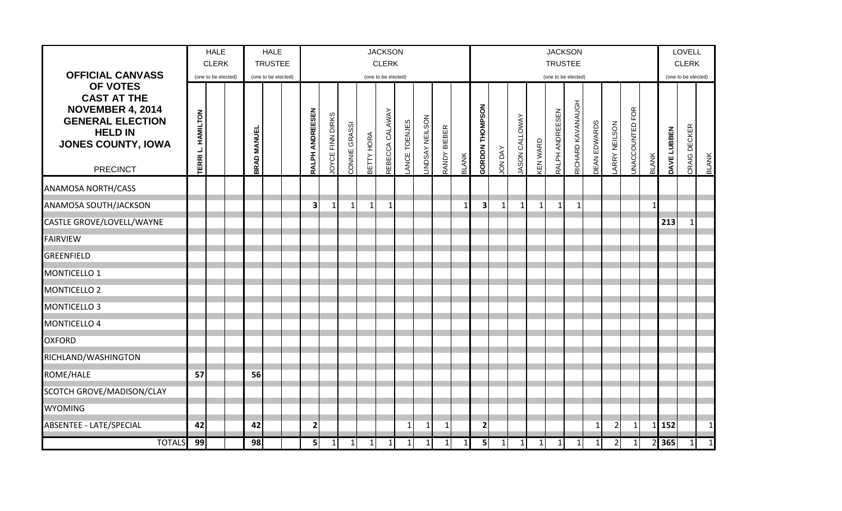|                                                                                                                                                 |                          | <b>HALE</b>         | <b>HALE</b>         |                 |                        |               |                   | <b>JACKSON</b>      |              |                |                |              |                          |                |                       |                 | <b>JACKSON</b>      |                   |                     |                |                           |              |                    | LOVELL              |                          |
|-------------------------------------------------------------------------------------------------------------------------------------------------|--------------------------|---------------------|---------------------|-----------------|------------------------|---------------|-------------------|---------------------|--------------|----------------|----------------|--------------|--------------------------|----------------|-----------------------|-----------------|---------------------|-------------------|---------------------|----------------|---------------------------|--------------|--------------------|---------------------|--------------------------|
|                                                                                                                                                 |                          | <b>CLERK</b>        | <b>TRUSTEE</b>      |                 |                        |               |                   | <b>CLERK</b>        |              |                |                |              |                          |                |                       |                 | <b>TRUSTEE</b>      |                   |                     |                |                           |              |                    | <b>CLERK</b>        |                          |
| <b>OFFICIAL CANVASS</b>                                                                                                                         |                          | (one to be elected) | (one to be elected) |                 |                        |               |                   | (one to be elected) |              |                |                |              |                          |                |                       |                 | (one to be elected) |                   |                     |                |                           |              |                    | (one to be elected) |                          |
| OF VOTES<br><b>CAST AT THE</b><br><b>NOVEMBER 4, 2014</b><br><b>GENERAL ELECTION</b><br><b>HELD IN</b><br>JONES COUNTY, IOWA<br><b>PRECINCT</b> | <b>TERRI L. HAMILTON</b> |                     | <b>BRAD MANUEL</b>  | RALPH ANDREESEN | <b>OYCE FINN DIRKS</b> | CONNIE GRASSI | <b>BETTY HORA</b> | REBECCA CALAWAY     | ANCE TOENJES | INDSAY NEILSON | RANDY BIEBER   | <b>BLANK</b> | GORDON THOMPSON          | <b>AVO NON</b> | <b>JASON CALLOWAY</b> | <b>KEN WARD</b> | RALPH ANDREESEN     | RICHARD KAVANAUGH | <b>DEAN EDWARDS</b> | ARRY NEILSON   | FOR<br><b>JNACCOUNTED</b> | <b>BLANK</b> | DAVE LUBBEN        | CRAIG DECKER        | <b>BLANK</b>             |
| <b>ANAMOSA NORTH/CASS</b>                                                                                                                       |                          |                     |                     |                 |                        |               |                   |                     |              |                |                |              |                          |                |                       |                 |                     |                   |                     |                |                           |              |                    |                     |                          |
| <b>ANAMOSA SOUTH/JACKSON</b>                                                                                                                    |                          |                     |                     | 3               | $\mathbf 1$            | $\mathbf{1}$  | $\mathbf{1}$      | 1                   |              |                |                |              | 3                        | 1              | 1                     | 1               | $\mathbf{1}$        | 1                 |                     |                |                           | $\mathbf{1}$ |                    |                     |                          |
| CASTLE GROVE/LOVELL/WAYNE                                                                                                                       |                          |                     |                     |                 |                        |               |                   |                     |              |                |                |              |                          |                |                       |                 |                     |                   |                     |                |                           |              | 213                | 1                   |                          |
| <b>FAIRVIEW</b>                                                                                                                                 |                          |                     |                     |                 |                        |               |                   |                     |              |                |                |              |                          |                |                       |                 |                     |                   |                     |                |                           |              |                    |                     |                          |
| <b>GREENFIELD</b>                                                                                                                               |                          |                     |                     |                 |                        |               |                   |                     |              |                |                |              |                          |                |                       |                 |                     |                   |                     |                |                           |              |                    |                     |                          |
| MONTICELLO 1                                                                                                                                    |                          |                     |                     |                 |                        |               |                   |                     |              |                |                |              |                          |                |                       |                 |                     |                   |                     |                |                           |              |                    |                     |                          |
| <b>MONTICELLO 2</b>                                                                                                                             |                          |                     |                     |                 |                        |               |                   |                     |              |                |                |              |                          |                |                       |                 |                     |                   |                     |                |                           |              |                    |                     |                          |
| <b>MONTICELLO 3</b>                                                                                                                             |                          |                     |                     |                 |                        |               |                   |                     |              |                |                |              |                          |                |                       |                 |                     |                   |                     |                |                           |              |                    |                     |                          |
| MONTICELLO 4                                                                                                                                    |                          |                     |                     |                 |                        |               |                   |                     |              |                |                |              |                          |                |                       |                 |                     |                   |                     |                |                           |              |                    |                     |                          |
| <b>OXFORD</b>                                                                                                                                   |                          |                     |                     |                 |                        |               |                   |                     |              |                |                |              |                          |                |                       |                 |                     |                   |                     |                |                           |              |                    |                     |                          |
| RICHLAND/WASHINGTON                                                                                                                             |                          |                     |                     |                 |                        |               |                   |                     |              |                |                |              |                          |                |                       |                 |                     |                   |                     |                |                           |              |                    |                     |                          |
| ROME/HALE                                                                                                                                       | 57                       |                     | 56                  |                 |                        |               |                   |                     |              |                |                |              |                          |                |                       |                 |                     |                   |                     |                |                           |              |                    |                     |                          |
| SCOTCH GROVE/MADISON/CLAY                                                                                                                       |                          |                     |                     |                 |                        |               |                   |                     |              |                |                |              |                          |                |                       |                 |                     |                   |                     |                |                           |              |                    |                     |                          |
| <b>WYOMING</b>                                                                                                                                  |                          |                     |                     |                 |                        |               |                   |                     |              |                |                |              |                          |                |                       |                 |                     |                   |                     |                |                           |              |                    |                     |                          |
| <b>ABSENTEE - LATE/SPECIAL</b>                                                                                                                  | 42                       |                     | 42                  | 2               |                        |               |                   |                     |              | 1              | 1              |              | 2                        |                |                       |                 |                     |                   | -1                  | $\overline{2}$ |                           |              | $1$ 152            |                     | $\vert$ 1                |
| <b>TOTALS</b>                                                                                                                                   | 99                       |                     | 98                  | 5 <sup>1</sup>  | 1                      | $\vert$ 1     | $\vert$ 1         | 1                   | 1            | 1              | $\overline{1}$ | $\mathbf{1}$ | $\overline{\phantom{a}}$ | $\vert$ 1      | $1\vert$              | $\vert$ 1       | $\vert$ 1           | $\vert$ 1         | 1                   | 2              | 1                         |              | $2 \overline{365}$ | $1\vert$            | $\overline{\phantom{a}}$ |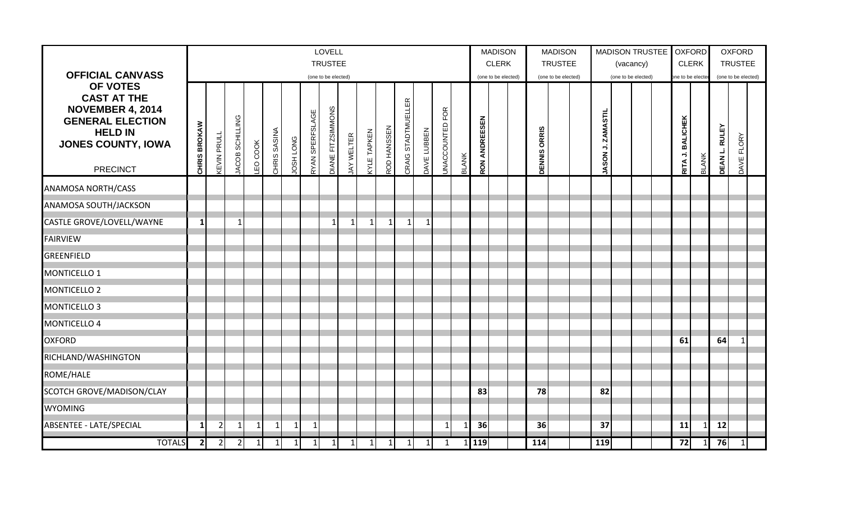|                                                                                                                                                 |              |                    |                 |              |              |                  |                        | LOVELL                   |                   |                    |              |                    |                    |                           |              |               | <b>MADISON</b>      |                     | <b>MADISON</b>      | MADISON TRUSTEE   |                     | <b>OXFORD</b>           |              |                      | <b>OXFORD</b>       |  |
|-------------------------------------------------------------------------------------------------------------------------------------------------|--------------|--------------------|-----------------|--------------|--------------|------------------|------------------------|--------------------------|-------------------|--------------------|--------------|--------------------|--------------------|---------------------------|--------------|---------------|---------------------|---------------------|---------------------|-------------------|---------------------|-------------------------|--------------|----------------------|---------------------|--|
|                                                                                                                                                 |              |                    |                 |              |              |                  |                        | <b>TRUSTEE</b>           |                   |                    |              |                    |                    |                           |              |               | <b>CLERK</b>        |                     | <b>TRUSTEE</b>      |                   | (vacancy)           | <b>CLERK</b>            |              |                      | <b>TRUSTEE</b>      |  |
| <b>OFFICIAL CANVASS</b>                                                                                                                         |              |                    |                 |              |              |                  |                        | (one to be elected)      |                   |                    |              |                    |                    |                           |              |               | (one to be elected) |                     | (one to be elected) |                   | (one to be elected) | one to be elected       |              |                      | (one to be elected) |  |
| OF VOTES<br><b>CAST AT THE</b><br><b>NOVEMBER 4, 2014</b><br><b>GENERAL ELECTION</b><br><b>HELD IN</b><br>JONES COUNTY, IOWA<br><b>PRECINCT</b> | CHRIS BROKAW | <b>KEVIN PRULL</b> | IACOB SCHILLING | EO COOK      | CHRIS SASINA | <b>DOSH LONG</b> | <b>RYAN SPERFSLAGE</b> | <b>DIANE FITZSIMMONS</b> | <b>JAY WELTER</b> | <b>YYLE TAPKEN</b> | ROD HANSSEN  | CRAIG STADTMUELLER | <b>DAVE LUBBEN</b> | FOR<br><b>JNACCOUNTED</b> | <b>BLANK</b> | RON ANDREESEN |                     | <b>DENNIS ORRIS</b> |                     | JASON J. ZAMASTIL |                     | <b>RITA J. BALICHEK</b> | <b>BLANK</b> | <b>JEAN L. RULEY</b> | DAVE FLORY          |  |
| ANAMOSA NORTH/CASS                                                                                                                              |              |                    |                 |              |              |                  |                        |                          |                   |                    |              |                    |                    |                           |              |               |                     |                     |                     |                   |                     |                         |              |                      |                     |  |
| ANAMOSA SOUTH/JACKSON                                                                                                                           |              |                    |                 |              |              |                  |                        |                          |                   |                    |              |                    |                    |                           |              |               |                     |                     |                     |                   |                     |                         |              |                      |                     |  |
| CASTLE GROVE/LOVELL/WAYNE                                                                                                                       | $\mathbf{1}$ |                    | $\mathbf{1}$    |              |              |                  |                        | -1                       | -1                | $\mathbf{1}$       | $\mathbf{1}$ | $\mathbf 1$        | 1                  |                           |              |               |                     |                     |                     |                   |                     |                         |              |                      |                     |  |
| <b>FAIRVIEW</b>                                                                                                                                 |              |                    |                 |              |              |                  |                        |                          |                   |                    |              |                    |                    |                           |              |               |                     |                     |                     |                   |                     |                         |              |                      |                     |  |
| GREENFIELD                                                                                                                                      |              |                    |                 |              |              |                  |                        |                          |                   |                    |              |                    |                    |                           |              |               |                     |                     |                     |                   |                     |                         |              |                      |                     |  |
| MONTICELLO 1                                                                                                                                    |              |                    |                 |              |              |                  |                        |                          |                   |                    |              |                    |                    |                           |              |               |                     |                     |                     |                   |                     |                         |              |                      |                     |  |
| <b>MONTICELLO 2</b>                                                                                                                             |              |                    |                 |              |              |                  |                        |                          |                   |                    |              |                    |                    |                           |              |               |                     |                     |                     |                   |                     |                         |              |                      |                     |  |
| MONTICELLO <sub>3</sub>                                                                                                                         |              |                    |                 |              |              |                  |                        |                          |                   |                    |              |                    |                    |                           |              |               |                     |                     |                     |                   |                     |                         |              |                      |                     |  |
| MONTICELLO 4                                                                                                                                    |              |                    |                 |              |              |                  |                        |                          |                   |                    |              |                    |                    |                           |              |               |                     |                     |                     |                   |                     |                         |              |                      |                     |  |
| <b>OXFORD</b>                                                                                                                                   |              |                    |                 |              |              |                  |                        |                          |                   |                    |              |                    |                    |                           |              |               |                     |                     |                     |                   |                     | 61                      |              | 64                   |                     |  |
| RICHLAND/WASHINGTON                                                                                                                             |              |                    |                 |              |              |                  |                        |                          |                   |                    |              |                    |                    |                           |              |               |                     |                     |                     |                   |                     |                         |              |                      |                     |  |
| ROME/HALE                                                                                                                                       |              |                    |                 |              |              |                  |                        |                          |                   |                    |              |                    |                    |                           |              |               |                     |                     |                     |                   |                     |                         |              |                      |                     |  |
| SCOTCH GROVE/MADISON/CLAY                                                                                                                       |              |                    |                 |              |              |                  |                        |                          |                   |                    |              |                    |                    |                           |              | 83            |                     | 78                  |                     | 82                |                     |                         |              |                      |                     |  |
| <b>WYOMING</b>                                                                                                                                  |              |                    |                 |              |              |                  |                        |                          |                   |                    |              |                    |                    |                           |              |               |                     |                     |                     |                   |                     |                         |              |                      |                     |  |
| ABSENTEE - LATE/SPECIAL                                                                                                                         | -1           | $\overline{2}$     | 1               | 1            | 1            | 1                | -1                     |                          |                   |                    |              |                    |                    | $\mathbf{1}$              |              | 36            |                     | 36                  |                     | 37                |                     | 11                      |              | 12                   |                     |  |
| <b>TOTALS</b>                                                                                                                                   | $\mathbf{2}$ | $\overline{2}$     | $\overline{2}$  | $\mathbf{1}$ | $\vert$ 1    | $\vert$ 1        | $\vert$ 1              | $\vert$ 1                | $\vert$ 1         | $\vert$ 1          | $\mathbf{1}$ | $\mathbf{1}$       | $\mathbf{1}$       | $\mathbf{1}$              |              | 119           |                     | 114                 |                     | 119               |                     | 72                      |              | 76                   | $1\vert$            |  |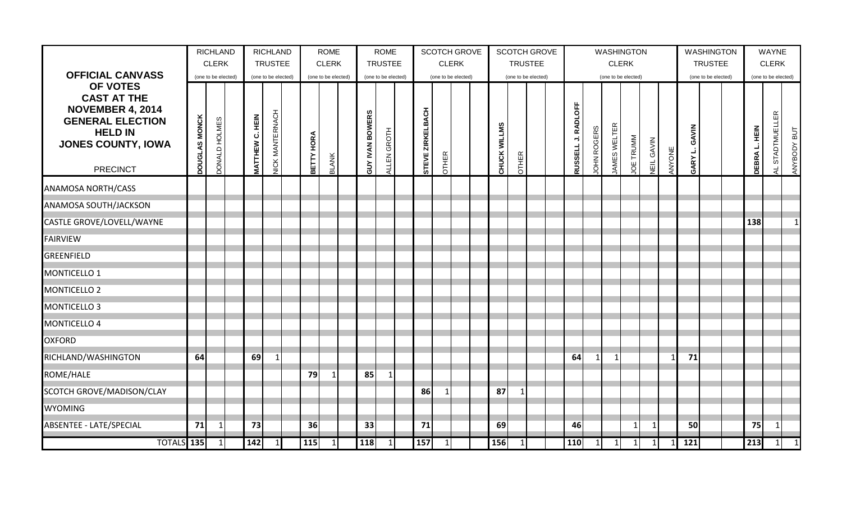|                                                    |                      | <b>RICHLAND</b>      |                | <b>RICHLAND</b>        |       | <b>ROME</b>         |  | <b>ROME</b>            |                     |                  | SCOTCH GROVE |                     |               | <b>SCOTCH GROVE</b> |                     |                          | <b>WASHINGTON</b> |                     |              |                   |              | <b>WASHINGTON</b> |                     | WAYNE              |                     |                          |
|----------------------------------------------------|----------------------|----------------------|----------------|------------------------|-------|---------------------|--|------------------------|---------------------|------------------|--------------|---------------------|---------------|---------------------|---------------------|--------------------------|-------------------|---------------------|--------------|-------------------|--------------|-------------------|---------------------|--------------------|---------------------|--------------------------|
|                                                    |                      | <b>CLERK</b>         |                | <b>TRUSTEE</b>         |       | <b>CLERK</b>        |  |                        | <b>TRUSTEE</b>      |                  | <b>CLERK</b> |                     |               |                     | <b>TRUSTEE</b>      |                          |                   |                     | <b>CLERK</b> |                   |              |                   | <b>TRUSTEE</b>      |                    | <b>CLERK</b>        |                          |
| <b>OFFICIAL CANVASS</b>                            |                      | (one to be elected)  |                | (one to be elected)    |       | (one to be elected) |  |                        | (one to be elected) |                  |              | (one to be elected) |               |                     | (one to be elected) |                          |                   | (one to be elected) |              |                   |              |                   | (one to be elected) |                    | (one to be elected) |                          |
| OF VOTES                                           |                      |                      |                |                        |       |                     |  |                        |                     |                  |              |                     |               |                     |                     |                          |                   |                     |              |                   |              |                   |                     |                    |                     |                          |
| <b>CAST AT THE</b>                                 |                      |                      |                |                        |       |                     |  |                        |                     |                  |              |                     |               |                     |                     |                          |                   |                     |              |                   |              |                   |                     |                    |                     |                          |
| <b>NOVEMBER 4, 2014</b><br><b>GENERAL ELECTION</b> |                      |                      |                |                        |       |                     |  |                        |                     |                  |              |                     |               |                     |                     | <b>RADLOFF</b>           |                   |                     |              |                   |              |                   |                     |                    |                     |                          |
| <b>HELD IN</b>                                     |                      |                      | C. HEIN        |                        |       |                     |  |                        |                     |                  |              |                     |               |                     |                     |                          |                   |                     |              |                   |              |                   |                     |                    |                     |                          |
| JONES COUNTY, IOWA                                 |                      |                      |                |                        | HORA  |                     |  |                        |                     |                  |              |                     | <b>WILLMS</b> |                     |                     | $\overline{\phantom{a}}$ |                   |                     |              |                   |              | <b>GAVIN</b>      |                     |                    |                     |                          |
|                                                    | <b>DOUGLAS MONCK</b> | <b>DONALD HOLMES</b> | <b>IATTHEW</b> | <b>JICK MANTERNACH</b> |       |                     |  |                        |                     |                  |              |                     |               |                     |                     | <b>AUSSELL</b>           | <b>OHN ROGERS</b> | AMES WELTER         | OE TRUMM     | <b>VEIL GAVIN</b> |              | Ľ                 |                     | <b>JEBRAL.HEIN</b> |                     |                          |
| <b>PRECINCT</b>                                    |                      |                      |                |                        | BETTY | <b>BLANK</b>        |  | <b>GUY IVAN BOWERS</b> | ALLEN GROTH         | STEVE ZIRKELBACH | <b>OTHER</b> |                     | CHUCK         | <b>OTHER</b>        |                     |                          |                   |                     |              |                   | ANYONE       | GARY              |                     |                    | AL STADTMUELLER     | TUB YOORYNA              |
| <b>ANAMOSA NORTH/CASS</b>                          |                      |                      |                |                        |       |                     |  |                        |                     |                  |              |                     |               |                     |                     |                          |                   |                     |              |                   |              |                   |                     |                    |                     |                          |
| ANAMOSA SOUTH/JACKSON                              |                      |                      |                |                        |       |                     |  |                        |                     |                  |              |                     |               |                     |                     |                          |                   |                     |              |                   |              |                   |                     |                    |                     |                          |
| CASTLE GROVE/LOVELL/WAYNE                          |                      |                      |                |                        |       |                     |  |                        |                     |                  |              |                     |               |                     |                     |                          |                   |                     |              |                   |              |                   |                     | 138                |                     | $\mathbf{1}$             |
| <b>FAIRVIEW</b>                                    |                      |                      |                |                        |       |                     |  |                        |                     |                  |              |                     |               |                     |                     |                          |                   |                     |              |                   |              |                   |                     |                    |                     |                          |
| <b>GREENFIELD</b>                                  |                      |                      |                |                        |       |                     |  |                        |                     |                  |              |                     |               |                     |                     |                          |                   |                     |              |                   |              |                   |                     |                    |                     |                          |
| MONTICELLO 1                                       |                      |                      |                |                        |       |                     |  |                        |                     |                  |              |                     |               |                     |                     |                          |                   |                     |              |                   |              |                   |                     |                    |                     |                          |
| MONTICELLO 2                                       |                      |                      |                |                        |       |                     |  |                        |                     |                  |              |                     |               |                     |                     |                          |                   |                     |              |                   |              |                   |                     |                    |                     |                          |
| MONTICELLO <sub>3</sub>                            |                      |                      |                |                        |       |                     |  |                        |                     |                  |              |                     |               |                     |                     |                          |                   |                     |              |                   |              |                   |                     |                    |                     |                          |
| MONTICELLO 4                                       |                      |                      |                |                        |       |                     |  |                        |                     |                  |              |                     |               |                     |                     |                          |                   |                     |              |                   |              |                   |                     |                    |                     |                          |
| <b>OXFORD</b>                                      |                      |                      |                |                        |       |                     |  |                        |                     |                  |              |                     |               |                     |                     |                          |                   |                     |              |                   |              |                   |                     |                    |                     |                          |
| RICHLAND/WASHINGTON                                | 64                   |                      | 69             | -1                     |       |                     |  |                        |                     |                  |              |                     |               |                     |                     | 64                       | -1                | $\mathbf 1$         |              |                   | $\mathbf{1}$ | 71                |                     |                    |                     |                          |
| ROME/HALE                                          |                      |                      |                |                        | 79    | $\mathbf{1}$        |  | 85                     |                     |                  |              |                     |               |                     |                     |                          |                   |                     |              |                   |              |                   |                     |                    |                     |                          |
| SCOTCH GROVE/MADISON/CLAY                          |                      |                      |                |                        |       |                     |  |                        |                     | 86               |              |                     | 87            |                     |                     |                          |                   |                     |              |                   |              |                   |                     |                    |                     |                          |
| <b>WYOMING</b>                                     |                      |                      |                |                        |       |                     |  |                        |                     |                  |              |                     |               |                     |                     |                          |                   |                     |              |                   |              |                   |                     |                    |                     |                          |
| ABSENTEE - LATE/SPECIAL                            | 71                   | 1                    | 73             |                        | 36    |                     |  | 33                     |                     | 71               |              |                     | 69            |                     |                     | 46                       |                   |                     |              | -1                |              | 50                |                     | 75                 | $\mathbf 1$         |                          |
| <b>TOTALS</b> 135                                  |                      | 1                    | 142            | $1\vert$               | 115   | $1\vert$            |  | <b>118</b>             | $1\vert$            | 157              | $1\vert$     |                     | 156           | $\mathbf{1}$        |                     | 110                      | $\vert$ 1         | $\boxed{1}$         | 1            | $\boxed{1}$       | $\mathbf{1}$ | 121               |                     | 213                | 1                   | $\overline{\phantom{0}}$ |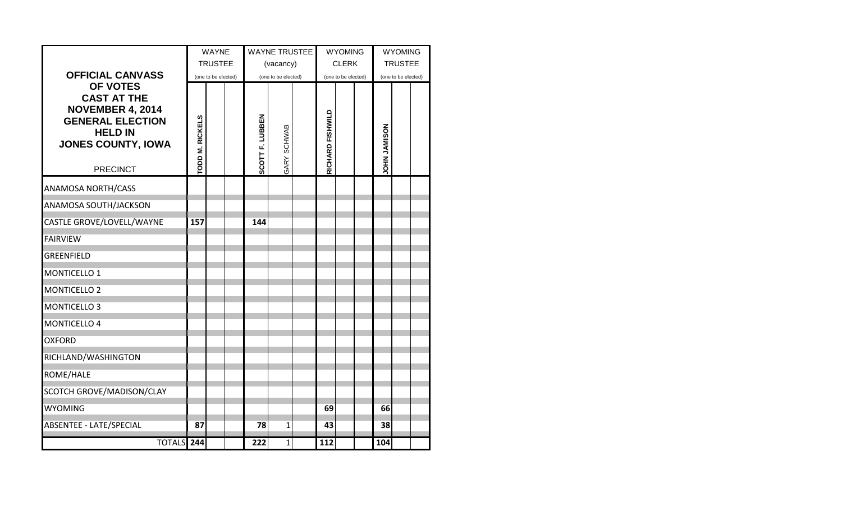|                                                                                                                                     |                 | WAYNE               |                 | <b>WAYNE TRUSTEE</b> |                  | <b>WYOMING</b>      |                     | <b>WYOMING</b>      |  |
|-------------------------------------------------------------------------------------------------------------------------------------|-----------------|---------------------|-----------------|----------------------|------------------|---------------------|---------------------|---------------------|--|
|                                                                                                                                     |                 | <b>TRUSTEE</b>      |                 | (vacancy)            |                  | <b>CLERK</b>        |                     | <b>TRUSTEE</b>      |  |
| <b>OFFICIAL CANVASS</b><br><b>OF VOTES</b>                                                                                          |                 | (one to be elected) |                 | (one to be elected)  |                  | (one to be elected) |                     | (one to be elected) |  |
| <b>CAST AT THE</b><br><b>NOVEMBER 4, 2014</b><br><b>GENERAL ELECTION</b><br><b>HELD IN</b><br>JONES COUNTY, IOWA<br><b>PRECINCT</b> | TODD M. RICKELS |                     | SCOTT F. LUBBEN | GARY SCHWAB          | RICHARD FISHWILD |                     | <b>NOSIMAT HHOL</b> |                     |  |
|                                                                                                                                     |                 |                     |                 |                      |                  |                     |                     |                     |  |
| ANAMOSA NORTH/CASS                                                                                                                  |                 |                     |                 |                      |                  |                     |                     |                     |  |
| ANAMOSA SOUTH/JACKSON                                                                                                               |                 |                     |                 |                      |                  |                     |                     |                     |  |
| CASTLE GROVE/LOVELL/WAYNE                                                                                                           | 157             |                     | 144             |                      |                  |                     |                     |                     |  |
| <b>FAIRVIEW</b>                                                                                                                     |                 |                     |                 |                      |                  |                     |                     |                     |  |
| GREENFIELD                                                                                                                          |                 |                     |                 |                      |                  |                     |                     |                     |  |
| MONTICELLO 1                                                                                                                        |                 |                     |                 |                      |                  |                     |                     |                     |  |
| <b>MONTICELLO 2</b>                                                                                                                 |                 |                     |                 |                      |                  |                     |                     |                     |  |
| MONTICELLO <sub>3</sub>                                                                                                             |                 |                     |                 |                      |                  |                     |                     |                     |  |
| MONTICELLO 4                                                                                                                        |                 |                     |                 |                      |                  |                     |                     |                     |  |
| <b>OXFORD</b>                                                                                                                       |                 |                     |                 |                      |                  |                     |                     |                     |  |
| RICHLAND/WASHINGTON                                                                                                                 |                 |                     |                 |                      |                  |                     |                     |                     |  |
| ROME/HALE                                                                                                                           |                 |                     |                 |                      |                  |                     |                     |                     |  |
| SCOTCH GROVE/MADISON/CLAY                                                                                                           |                 |                     |                 |                      |                  |                     |                     |                     |  |
| <b>WYOMING</b>                                                                                                                      |                 |                     |                 |                      | 69               |                     | 66                  |                     |  |
| <b>ABSENTEE - LATE/SPECIAL</b>                                                                                                      | 87              |                     | 78              | 1                    | 43               |                     | 38                  |                     |  |
| <b>TOTALS</b> 244                                                                                                                   |                 |                     | 222             | $\mathbf{1}$         | 112              |                     | 104                 |                     |  |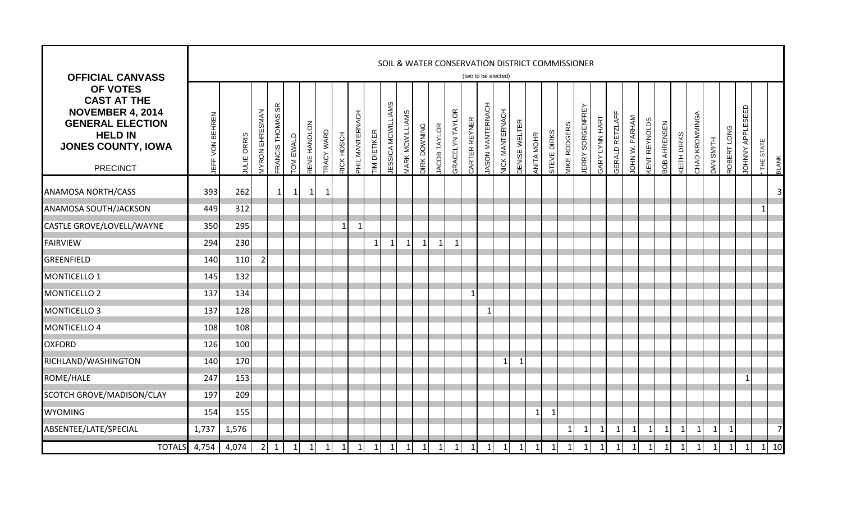| <b>OFFICIAL CANVASS</b>                                                                                                                                |                        |             |                       |                          |              |              |                   |                |                        |                         |                    |                        |                     |                     |                 |                         | (two to be elected)     |                        | SOIL & WATER CONSERVATION DISTRICT COMMISSIONER |              |                |                            |                  |                       |                        |                |                             |                     |                    |                |                     |                |                  |              |              |
|--------------------------------------------------------------------------------------------------------------------------------------------------------|------------------------|-------------|-----------------------|--------------------------|--------------|--------------|-------------------|----------------|------------------------|-------------------------|--------------------|------------------------|---------------------|---------------------|-----------------|-------------------------|-------------------------|------------------------|-------------------------------------------------|--------------|----------------|----------------------------|------------------|-----------------------|------------------------|----------------|-----------------------------|---------------------|--------------------|----------------|---------------------|----------------|------------------|--------------|--------------|
| <b>OF VOTES</b><br><b>CAST AT THE</b><br><b>NOVEMBER 4, 2014</b><br><b>GENERAL ELECTION</b><br><b>HELD IN</b><br>JONES COUNTY, IOWA<br><b>PRECINCT</b> | <b>IEFF VON BEHREN</b> | JULIE ORRIS | <b>AYRON EHRESMAN</b> | <b>FRANCIS THOMAS SR</b> | TOM EWALD    | RENE HANDLON | <b>TRACY WARD</b> | RICK HOSCH     | <b>PHIL MANTERNACH</b> | TIM DIETIKER            | JESSICA MCWILLIAMS | <b>MARK MCWILLIAMS</b> | <b>DIRK DOWNING</b> | <b>JACOB TAYLOR</b> | GRACELYN TAYLOR | CARTER REYNER           | <b>JASON MANTERNACH</b> | <b>JICK MANTERNACH</b> | <b>DENISE WELTER</b>                            | ANITA MOHR   | STEVE DIRKS    | <b><i>MIKE RODGERS</i></b> | JERRY SORGENFREY | <b>GARY LYNN HART</b> | <b>GERALD RETZLAFF</b> | JOHN W. PARHAM | <b><i>CENT REYNOLDS</i></b> | <b>30B AHRENSEN</b> | <b>KEITH DIRKS</b> | CHAD KROMMINGA | <b>SMITH</b><br>DAN | ROBERT LONG    | JOHNNY APPLESEED | THE STATE    | <b>SLANK</b> |
| <b>ANAMOSA NORTH/CASS</b>                                                                                                                              | 393                    | 262         |                       | $\mathbf{1}$             | $\mathbf{1}$ | $\mathbf{1}$ | $\mathbf 1$       |                |                        |                         |                    |                        |                     |                     |                 |                         |                         |                        |                                                 |              |                |                            |                  |                       |                        |                |                             |                     |                    |                |                     |                |                  |              |              |
| ANAMOSA SOUTH/JACKSON                                                                                                                                  | 449                    | 312         |                       |                          |              |              |                   |                |                        |                         |                    |                        |                     |                     |                 |                         |                         |                        |                                                 |              |                |                            |                  |                       |                        |                |                             |                     |                    |                |                     |                |                  | $\mathbf{1}$ |              |
| CASTLE GROVE/LOVELL/WAYNE                                                                                                                              | 350                    | 295         |                       |                          |              |              |                   | $\mathbf{1}$   | $\mathbf{1}$           |                         |                    |                        |                     |                     |                 |                         |                         |                        |                                                 |              |                |                            |                  |                       |                        |                |                             |                     |                    |                |                     |                |                  |              |              |
| FAIRVIEW                                                                                                                                               | 294                    | 230         |                       |                          |              |              |                   |                |                        | $\overline{\mathbf{1}}$ |                    | $\mathbf{1}$           | $\mathbf{1}$        | $\mathbf{1}$        | $\mathbf{1}$    |                         |                         |                        |                                                 |              |                |                            |                  |                       |                        |                |                             |                     |                    |                |                     |                |                  |              |              |
| GREENFIELD                                                                                                                                             | 140                    | 110         | $\mathcal{P}$         |                          |              |              |                   |                |                        |                         |                    |                        |                     |                     |                 |                         |                         |                        |                                                 |              |                |                            |                  |                       |                        |                |                             |                     |                    |                |                     |                |                  |              |              |
| MONTICELLO 1                                                                                                                                           | 145                    | 132         |                       |                          |              |              |                   |                |                        |                         |                    |                        |                     |                     |                 |                         |                         |                        |                                                 |              |                |                            |                  |                       |                        |                |                             |                     |                    |                |                     |                |                  |              |              |
| <b>MONTICELLO 2</b>                                                                                                                                    | 137                    | 134         |                       |                          |              |              |                   |                |                        |                         |                    |                        |                     |                     |                 | $\overline{\mathbf{1}}$ |                         |                        |                                                 |              |                |                            |                  |                       |                        |                |                             |                     |                    |                |                     |                |                  |              |              |
| MONTICELLO <sub>3</sub>                                                                                                                                | 137                    | 128         |                       |                          |              |              |                   |                |                        |                         |                    |                        |                     |                     |                 |                         | $\overline{\mathbf{1}}$ |                        |                                                 |              |                |                            |                  |                       |                        |                |                             |                     |                    |                |                     |                |                  |              |              |
| MONTICELLO 4                                                                                                                                           | 108                    | 108         |                       |                          |              |              |                   |                |                        |                         |                    |                        |                     |                     |                 |                         |                         |                        |                                                 |              |                |                            |                  |                       |                        |                |                             |                     |                    |                |                     |                |                  |              |              |
| <b>OXFORD</b>                                                                                                                                          | 126                    | 100         |                       |                          |              |              |                   |                |                        |                         |                    |                        |                     |                     |                 |                         |                         |                        |                                                 |              |                |                            |                  |                       |                        |                |                             |                     |                    |                |                     |                |                  |              |              |
| RICHLAND/WASHINGTON                                                                                                                                    | 140                    | 170         |                       |                          |              |              |                   |                |                        |                         |                    |                        |                     |                     |                 |                         |                         |                        | 1                                               |              |                |                            |                  |                       |                        |                |                             |                     |                    |                |                     |                |                  |              |              |
| ROME/HALE                                                                                                                                              | 247                    | 153         |                       |                          |              |              |                   |                |                        |                         |                    |                        |                     |                     |                 |                         |                         |                        |                                                 |              |                |                            |                  |                       |                        |                |                             |                     |                    |                |                     |                | -1               |              |              |
| SCOTCH GROVE/MADISON/CLAY                                                                                                                              | 197                    | 209         |                       |                          |              |              |                   |                |                        |                         |                    |                        |                     |                     |                 |                         |                         |                        |                                                 |              |                |                            |                  |                       |                        |                |                             |                     |                    |                |                     |                |                  |              |              |
| <b>WYOMING</b>                                                                                                                                         | 154                    | 155         |                       |                          |              |              |                   |                |                        |                         |                    |                        |                     |                     |                 |                         |                         |                        |                                                 | $\mathbf 1$  | -1             |                            |                  |                       |                        |                |                             |                     |                    |                |                     |                |                  |              |              |
| ABSENTEE/LATE/SPECIAL                                                                                                                                  | 1,737                  | 1,576       |                       |                          |              |              |                   |                |                        |                         |                    |                        |                     |                     |                 |                         |                         |                        |                                                 |              |                | -1                         | -1               | -1                    | 1                      | 1              | $\mathbf{1}$                | 1                   | $\mathbf{1}$       | 1              | -1                  | -1             |                  |              | 7            |
| <b>TOTALS</b>                                                                                                                                          | 4,754                  | 4,074       |                       | $2 \mid 1$               | $\vert$ 1    | $\mathbf{1}$ | $\mathbf{1}$      | $\overline{1}$ | $\overline{1}$         | $\mathbf{1}$            | $1\vert$           | $\mathbf{1}$           | $\mathbf{1}$        | $\mathbf{1}$        | $\mathbf{1}$    | 1                       | $\overline{1}$          | $\overline{1}$         | 1                                               | $\mathbf{1}$ | $\overline{1}$ | $\overline{1}$             | $\mathbf{1}$     | $\mathbf{1}$          | $\vert$ 1              | $\mathbf{1}$   | $\overline{1}$              | $\mathbf{1}$        | $\overline{1}$     | $1 \vert$      | $\overline{1}$      | $\overline{1}$ | $\mathbf{1}$     | $\mathbf{1}$ | 10           |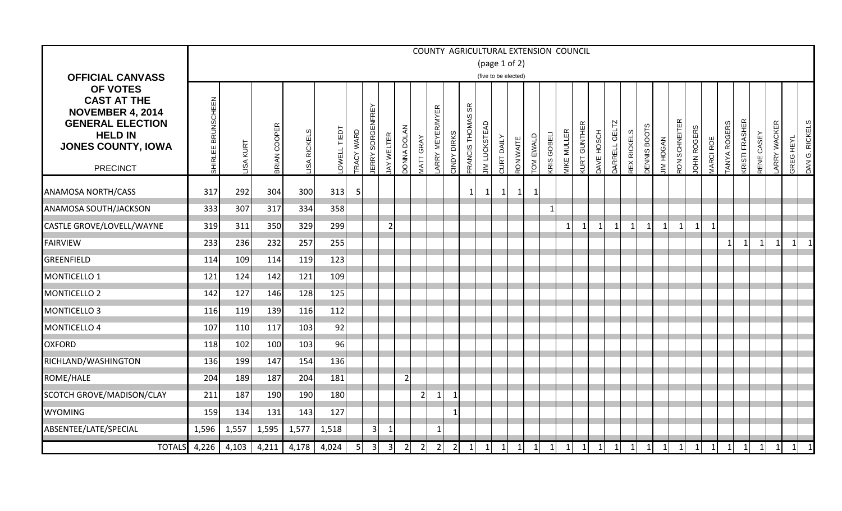|                                                                                                                                                        |                    |           |                 |                    |             |                   |                     |                |                   |                     |                 |              |                             |                      |                      |              | COUNTY AGRICULTURAL EXTENSION COUNCIL |                    |                    |                    |            |                      |              |                     |                  |               |                   |                      |                     |                       |              |             |              |                |
|--------------------------------------------------------------------------------------------------------------------------------------------------------|--------------------|-----------|-----------------|--------------------|-------------|-------------------|---------------------|----------------|-------------------|---------------------|-----------------|--------------|-----------------------------|----------------------|----------------------|--------------|---------------------------------------|--------------------|--------------------|--------------------|------------|----------------------|--------------|---------------------|------------------|---------------|-------------------|----------------------|---------------------|-----------------------|--------------|-------------|--------------|----------------|
|                                                                                                                                                        |                    |           |                 |                    |             |                   |                     |                |                   |                     |                 |              |                             |                      | (page $1$ of $2$ )   |              |                                       |                    |                    |                    |            |                      |              |                     |                  |               |                   |                      |                     |                       |              |             |              |                |
| <b>OFFICIAL CANVASS</b>                                                                                                                                |                    |           |                 |                    |             |                   |                     |                |                   |                     |                 |              |                             |                      | (five to be elected) |              |                                       |                    |                    |                    |            |                      |              |                     |                  |               |                   |                      |                     |                       |              |             |              |                |
| <b>OF VOTES</b><br><b>CAST AT THE</b><br><b>NOVEMBER 4, 2014</b><br><b>GENERAL ELECTION</b><br><b>HELD IN</b><br>JONES COUNTY, IOWA<br><b>PRECINCT</b> | SHIRLEE BRUNSCHEEN | KURT<br>ଌ | COOPER<br>BRIAN | <b>ISA RICKELS</b> | OWELL TIEDT | <b>TRACY WARD</b> | SORGENFREY<br>JERRY | JAY WELTER     | <b>NATOLANNOC</b> | GRAY<br><b>MATT</b> | ARRY MEYER/MYER | CINDY DIRKS  | SR<br><b>FRANCIS THOMAS</b> | <b>JIM LUCKSTEAD</b> | <b>CURT DAILY</b>    | RON WAITE    | <b>TOM EWALD</b>                      | <b>CRIS GOBELI</b> | <b>VIKE MULLER</b> | <b>URT GUNTHER</b> | DAVE HOSCH | <b>JARRELL GELTZ</b> | REX RICKELS  | <b>DENNIS BOOTS</b> | <b>JIM HOGAN</b> | RON SCHNEITER | <b>OHN ROGERS</b> | ROE<br><b>VIARCI</b> | <b>TANYA ROGERS</b> | <b>(RISTI FRASHER</b> | RENE CASEY   | ARRY WACKER | GREG HEYL    | DAN G. RICKELS |
| <b>ANAMOSA NORTH/CASS</b>                                                                                                                              | 317                | 292       | 304             | 300                | 313         | 5                 |                     |                |                   |                     |                 |              | 1                           | $\mathbf{1}$         | $\mathbf 1$          | $\mathbf{1}$ |                                       |                    |                    |                    |            |                      |              |                     |                  |               |                   |                      |                     |                       |              |             |              |                |
| ANAMOSA SOUTH/JACKSON                                                                                                                                  | 333                | 307       | 317             | 334                | 358         |                   |                     |                |                   |                     |                 |              |                             |                      |                      |              |                                       | -1                 |                    |                    |            |                      |              |                     |                  |               |                   |                      |                     |                       |              |             |              |                |
| CASTLE GROVE/LOVELL/WAYNE                                                                                                                              | 319                | 311       | 350             | 329                | 299         |                   |                     | $\overline{2}$ |                   |                     |                 |              |                             |                      |                      |              |                                       |                    |                    | 1                  | 1          | 1                    | $\mathbf{1}$ | -1                  | $\mathbf{1}$     |               | $\mathbf{1}$      |                      |                     |                       |              |             |              |                |
| <b>FAIRVIEW</b>                                                                                                                                        | 233                | 236       | 232             | 257                | 255         |                   |                     |                |                   |                     |                 |              |                             |                      |                      |              |                                       |                    |                    |                    |            |                      |              |                     |                  |               |                   |                      | -1                  | 1                     | $\mathbf{1}$ | 1           | $\mathbf{1}$ | $\vert$ 1      |
| GREENFIELD                                                                                                                                             | 114                | 109       | 114             | 119                | 123         |                   |                     |                |                   |                     |                 |              |                             |                      |                      |              |                                       |                    |                    |                    |            |                      |              |                     |                  |               |                   |                      |                     |                       |              |             |              |                |
| MONTICELLO 1                                                                                                                                           | 121                | 124       | 142             | 121                | 109         |                   |                     |                |                   |                     |                 |              |                             |                      |                      |              |                                       |                    |                    |                    |            |                      |              |                     |                  |               |                   |                      |                     |                       |              |             |              |                |
| <b>MONTICELLO 2</b>                                                                                                                                    | 142                | 127       | 146             | 128                | 125         |                   |                     |                |                   |                     |                 |              |                             |                      |                      |              |                                       |                    |                    |                    |            |                      |              |                     |                  |               |                   |                      |                     |                       |              |             |              |                |
| <b>MONTICELLO 3</b>                                                                                                                                    | 116                | 119       | 139             | 116                | 112         |                   |                     |                |                   |                     |                 |              |                             |                      |                      |              |                                       |                    |                    |                    |            |                      |              |                     |                  |               |                   |                      |                     |                       |              |             |              |                |
| MONTICELLO 4                                                                                                                                           | 107                | 110       | 117             | 103                | 92          |                   |                     |                |                   |                     |                 |              |                             |                      |                      |              |                                       |                    |                    |                    |            |                      |              |                     |                  |               |                   |                      |                     |                       |              |             |              |                |
| <b>OXFORD</b>                                                                                                                                          | 118                | 102       | 100             | 103                | 96          |                   |                     |                |                   |                     |                 |              |                             |                      |                      |              |                                       |                    |                    |                    |            |                      |              |                     |                  |               |                   |                      |                     |                       |              |             |              |                |
| RICHLAND/WASHINGTON                                                                                                                                    | 136                | 199       | 147             | 154                | 136         |                   |                     |                |                   |                     |                 |              |                             |                      |                      |              |                                       |                    |                    |                    |            |                      |              |                     |                  |               |                   |                      |                     |                       |              |             |              |                |
| ROME/HALE                                                                                                                                              | 204                | 189       | 187             | 204                | 181         |                   |                     |                |                   |                     |                 |              |                             |                      |                      |              |                                       |                    |                    |                    |            |                      |              |                     |                  |               |                   |                      |                     |                       |              |             |              |                |
| SCOTCH GROVE/MADISON/CLAY                                                                                                                              | 211                | 187       | 190             | 190                | 180         |                   |                     |                |                   | $\overline{2}$      | 1               | $\mathbf{1}$ |                             |                      |                      |              |                                       |                    |                    |                    |            |                      |              |                     |                  |               |                   |                      |                     |                       |              |             |              |                |
| <b>WYOMING</b>                                                                                                                                         | 159                | 134       | 131             | 143                | 127         |                   |                     |                |                   |                     |                 | 1            |                             |                      |                      |              |                                       |                    |                    |                    |            |                      |              |                     |                  |               |                   |                      |                     |                       |              |             |              |                |
| ABSENTEE/LATE/SPECIAL                                                                                                                                  | 1,596              | 1,557     | 1,595           | 1,577              | 1,518       |                   | $\overline{3}$      | $\mathbf{1}$   |                   |                     | 1               |              |                             |                      |                      |              |                                       |                    |                    |                    |            |                      |              |                     |                  |               |                   |                      |                     |                       |              |             |              |                |
| <b>TOTALS</b>                                                                                                                                          | 4,226              | 4,103     | 4,211           | 4,178              | 4,024       | 5                 | $\vert$ 3           | $\overline{3}$ | $\overline{2}$    | $\overline{2}$      | $\overline{2}$  | $\vert$ 2    | $\vert$ 1                   | $\vert$ 1            | $\vert$ 1            | $\vert$ 1    | $\vert$ 1                             | $\vert 1 \vert$    | $\vert$ 1          | $\boxed{1}$        | $\vert$ 1  | $\mathbf{1}$         | 1            | $\vert$ 1           | $\vert$ 1        | $\vert$ 1     | 1                 |                      | $1 \mid 1$          | $\vert$ 1             | $\mathbf{1}$ | $\vert$ 1   | $\vert$ 1    | $\overline{1}$ |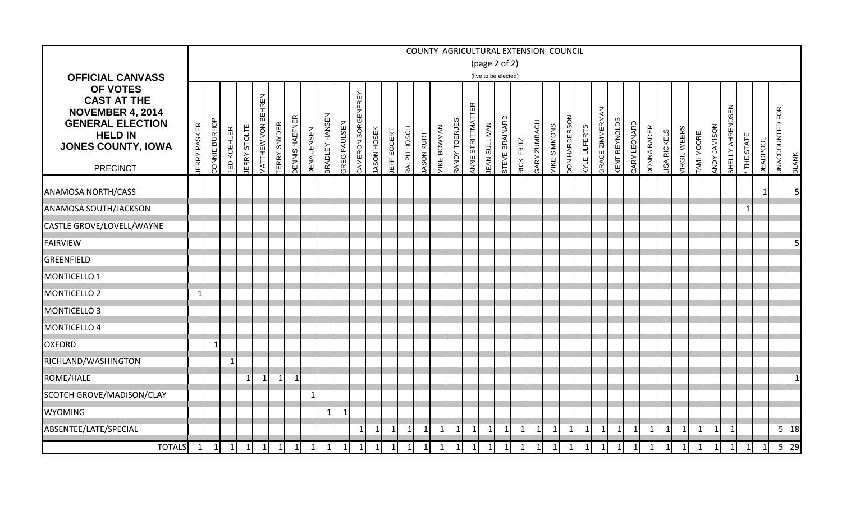|                                                                                                                                                 |                     |               |                    |                         |                                            |              |                       |                    |                       |              |                    |                    |              |              |                   |                    |               |                   |                      |                |                   | COUNTY AGRICULTURAL EXTENSION COUNCIL |                     |                      |                     |                 |                     |                     |                    |                    |                    |                   |              |                         |           |                           |   |                                 |                |
|-------------------------------------------------------------------------------------------------------------------------------------------------|---------------------|---------------|--------------------|-------------------------|--------------------------------------------|--------------|-----------------------|--------------------|-----------------------|--------------|--------------------|--------------------|--------------|--------------|-------------------|--------------------|---------------|-------------------|----------------------|----------------|-------------------|---------------------------------------|---------------------|----------------------|---------------------|-----------------|---------------------|---------------------|--------------------|--------------------|--------------------|-------------------|--------------|-------------------------|-----------|---------------------------|---|---------------------------------|----------------|
|                                                                                                                                                 |                     |               |                    |                         |                                            |              |                       |                    |                       |              |                    |                    |              |              |                   |                    |               |                   | (page $2$ of $2$ )   |                |                   |                                       |                     |                      |                     |                 |                     |                     |                    |                    |                    |                   |              |                         |           |                           |   |                                 |                |
| <b>OFFICIAL CANVASS</b>                                                                                                                         |                     |               |                    |                         |                                            |              |                       |                    |                       |              |                    |                    |              |              |                   |                    |               |                   | (five to be elected) |                |                   |                                       |                     |                      |                     |                 |                     |                     |                    |                    |                    |                   |              |                         |           |                           |   |                                 |                |
| OF VOTES<br><b>CAST AT THE</b><br><b>NOVEMBER 4, 2014</b><br><b>GENERAL ELECTION</b><br><b>HELD IN</b><br>JONES COUNTY, IOWA<br><b>PRECINCT</b> | <b>JERRY PASKER</b> | CONNIE BURHOP | <b>TED KOEHLER</b> | ш<br><b>JERRY STOLT</b> | <b>BEHREN</b><br><b><i>IATTHEW VON</i></b> | TERRY SNYDER | <b>DENNIS HAEFNER</b> | <b>JENA JENSEN</b> | <b>BRADLEY HANSEN</b> | GREG PAULSEN | CAMERON SORGENFREY | <b>JASON HOSEK</b> | JEFF EGGERT  | RALPH HOSCH  | <b>JASON KURT</b> | <b>AIKE BOWMAN</b> | RANDY TOENJES | ANNE STRITTMATTER | <b>JEAN SULLIVAN</b> | STEVE BRAINARD | <b>RICK FRITZ</b> | <b>HOARNA ZUMBACH</b>                 | <b>AIKE SIMMONS</b> | <b>JON HARDERSON</b> | <b>YVLE ULFERTS</b> | GRACE ZIMMERMAN | <b>KENT REYNOLD</b> | <b>GARY LEONARD</b> | <b>DONNA BADER</b> | <b>ISA RICKELS</b> | <b>/IRGILWEERS</b> | <b>TAMI MOORE</b> | NOSIMAL YON  | SHELLY AHRENDSEN        | THE STATE | <b>JEADPOOL</b>           |   | JNACCOUNTED FOR<br><b>BLANK</b> |                |
|                                                                                                                                                 |                     |               |                    |                         |                                            |              |                       |                    |                       |              |                    |                    |              |              |                   |                    |               |                   |                      |                |                   |                                       |                     |                      |                     |                 |                     |                     |                    |                    |                    |                   |              |                         |           |                           |   |                                 |                |
| ANAMOSA NORTH/CASS                                                                                                                              |                     |               |                    |                         |                                            |              |                       |                    |                       |              |                    |                    |              |              |                   |                    |               |                   |                      |                |                   |                                       |                     |                      |                     |                 |                     |                     |                    |                    |                    |                   |              |                         |           |                           | 1 |                                 | 5 <sub>l</sub> |
| ANAMOSA SOUTH/JACKSON                                                                                                                           |                     |               |                    |                         |                                            |              |                       |                    |                       |              |                    |                    |              |              |                   |                    |               |                   |                      |                |                   |                                       |                     |                      |                     |                 |                     |                     |                    |                    |                    |                   |              |                         |           |                           |   |                                 |                |
| CASTLE GROVE/LOVELL/WAYNE                                                                                                                       |                     |               |                    |                         |                                            |              |                       |                    |                       |              |                    |                    |              |              |                   |                    |               |                   |                      |                |                   |                                       |                     |                      |                     |                 |                     |                     |                    |                    |                    |                   |              |                         |           |                           |   |                                 |                |
| <b>FAIRVIEW</b>                                                                                                                                 |                     |               |                    |                         |                                            |              |                       |                    |                       |              |                    |                    |              |              |                   |                    |               |                   |                      |                |                   |                                       |                     |                      |                     |                 |                     |                     |                    |                    |                    |                   |              |                         |           |                           |   | 5                               |                |
| <b>GREENFIELD</b>                                                                                                                               |                     |               |                    |                         |                                            |              |                       |                    |                       |              |                    |                    |              |              |                   |                    |               |                   |                      |                |                   |                                       |                     |                      |                     |                 |                     |                     |                    |                    |                    |                   |              |                         |           |                           |   |                                 |                |
| MONTICELLO 1                                                                                                                                    |                     |               |                    |                         |                                            |              |                       |                    |                       |              |                    |                    |              |              |                   |                    |               |                   |                      |                |                   |                                       |                     |                      |                     |                 |                     |                     |                    |                    |                    |                   |              |                         |           |                           |   |                                 |                |
| <b>MONTICELLO 2</b>                                                                                                                             | $\mathbf{1}$        |               |                    |                         |                                            |              |                       |                    |                       |              |                    |                    |              |              |                   |                    |               |                   |                      |                |                   |                                       |                     |                      |                     |                 |                     |                     |                    |                    |                    |                   |              |                         |           |                           |   |                                 |                |
| MONTICELLO <sub>3</sub>                                                                                                                         |                     |               |                    |                         |                                            |              |                       |                    |                       |              |                    |                    |              |              |                   |                    |               |                   |                      |                |                   |                                       |                     |                      |                     |                 |                     |                     |                    |                    |                    |                   |              |                         |           |                           |   |                                 |                |
| MONTICELLO 4                                                                                                                                    |                     |               |                    |                         |                                            |              |                       |                    |                       |              |                    |                    |              |              |                   |                    |               |                   |                      |                |                   |                                       |                     |                      |                     |                 |                     |                     |                    |                    |                    |                   |              |                         |           |                           |   |                                 |                |
| <b>OXFORD</b>                                                                                                                                   |                     | -1            |                    |                         |                                            |              |                       |                    |                       |              |                    |                    |              |              |                   |                    |               |                   |                      |                |                   |                                       |                     |                      |                     |                 |                     |                     |                    |                    |                    |                   |              |                         |           |                           |   |                                 |                |
| RICHLAND/WASHINGTON                                                                                                                             |                     |               | $\mathbf 1$        |                         |                                            |              |                       |                    |                       |              |                    |                    |              |              |                   |                    |               |                   |                      |                |                   |                                       |                     |                      |                     |                 |                     |                     |                    |                    |                    |                   |              |                         |           |                           |   |                                 |                |
| ROME/HALE                                                                                                                                       |                     |               |                    |                         | 1                                          | $\mathbf{1}$ | $\mathbf{1}$          |                    |                       |              |                    |                    |              |              |                   |                    |               |                   |                      |                |                   |                                       |                     |                      |                     |                 |                     |                     |                    |                    |                    |                   |              |                         |           |                           |   |                                 |                |
| SCOTCH GROVE/MADISON/CLAY                                                                                                                       |                     |               |                    |                         |                                            |              |                       | $\mathbf{1}$       |                       |              |                    |                    |              |              |                   |                    |               |                   |                      |                |                   |                                       |                     |                      |                     |                 |                     |                     |                    |                    |                    |                   |              |                         |           |                           |   |                                 |                |
| <b>WYOMING</b>                                                                                                                                  |                     |               |                    |                         |                                            |              |                       |                    | -1                    |              |                    |                    |              |              |                   |                    |               |                   |                      |                |                   |                                       |                     |                      |                     |                 |                     |                     |                    |                    |                    |                   |              |                         |           |                           |   |                                 |                |
| ABSENTEE/LATE/SPECIAL                                                                                                                           |                     |               |                    |                         |                                            |              |                       |                    |                       |              | $\mathbf{1}$       | 1                  | $\mathbf{1}$ | $\mathbf{1}$ | -1                | $\mathbf{1}$       | $\mathbf{1}$  | $\mathbf{1}$      | 1                    | $\mathbf{1}$   | $\mathbf{1}$      | 1                                     | $\mathbf{1}$        | $\mathbf 1$          | $\mathbf{1}$        | $\mathbf{1}$    | $\mathbf{1}$        | $\mathbf{1}$        | -1                 | $\mathbf{1}$       | $\mathbf{1}$       | $\mathbf 1$       | $\mathbf{1}$ | $\overline{\mathbf{1}}$ |           |                           |   | 18<br>5                         |                |
| <b>TOTALS</b>                                                                                                                                   | $\mathbf{1}$        | 1             | 1                  | $\vert$ 1               | $\mathbf{1}$                               | $\mathbf{1}$ | 1 <sup>1</sup>        | $\mathbf{1}$       | $\mathbf{1}$          | $\vert$ 1    | $\mathbf{1}$       | $\mathbf{1}$       | $\mathbf{1}$ | $\mathbf{1}$ | $\mathbf{1}$      | $\mathbf{1}$       | $\mathbf{1}$  | $\mathbf{1}$      | $\vert$ 1            | $\mathbf{1}$   | $\vert$ 1         | $\mathbf{1}$                          | $\vert$ 1           | $\mathbf{1}$         | $\mathbf{1}$        | $\mathbf{1}$    | $\vert$ 1           | $\mathbf{1}$        | $\vert$ 1          | $\mathbf{1}$       | $\mathbf{1}$       | $\vert$ 1         | $\mathbf{1}$ | $\mathbf{1}$            |           | $\vert$ 1<br>$\mathbf{1}$ |   | $5 \overline{\smash{)}\ 29}$    |                |